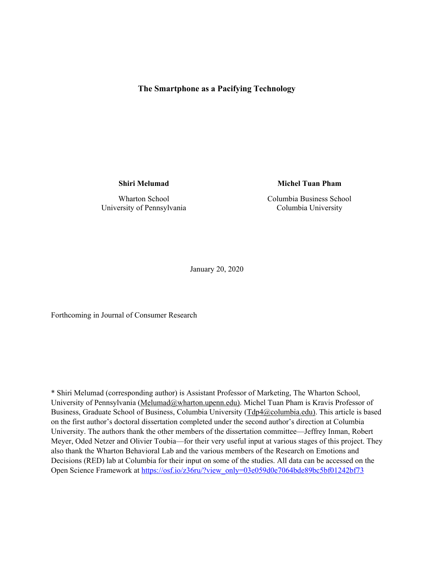## **The Smartphone as a Pacifying Technology**

**Shiri Melumad** 

Wharton School University of Pennsylvania **Michel Tuan Pham** 

Columbia Business School Columbia University

January 20, 2020

Forthcoming in Journal of Consumer Research

\* Shiri Melumad (corresponding author) is Assistant Professor of Marketing, The Wharton School, University of Pennsylvania (Melumad@wharton.upenn.edu). Michel Tuan Pham is Kravis Professor of Business, Graduate School of Business, Columbia University (Tdp4@columbia.edu). This article is based on the first author's doctoral dissertation completed under the second author's direction at Columbia University. The authors thank the other members of the dissertation committee—Jeffrey Inman, Robert Meyer, Oded Netzer and Olivier Toubia—for their very useful input at various stages of this project. They also thank the Wharton Behavioral Lab and the various members of the Research on Emotions and Decisions (RED) lab at Columbia for their input on some of the studies. All data can be accessed on the Open Science Framework at https://osf.io/z36ru/?view\_only=03e059d0e7064bde89bc5bf01242bf73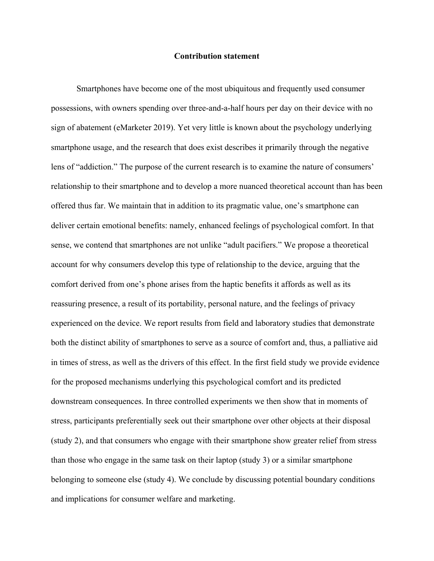#### **Contribution statement**

Smartphones have become one of the most ubiquitous and frequently used consumer possessions, with owners spending over three-and-a-half hours per day on their device with no sign of abatement (eMarketer 2019). Yet very little is known about the psychology underlying smartphone usage, and the research that does exist describes it primarily through the negative lens of "addiction." The purpose of the current research is to examine the nature of consumers' relationship to their smartphone and to develop a more nuanced theoretical account than has been offered thus far. We maintain that in addition to its pragmatic value, one's smartphone can deliver certain emotional benefits: namely, enhanced feelings of psychological comfort. In that sense, we contend that smartphones are not unlike "adult pacifiers." We propose a theoretical account for why consumers develop this type of relationship to the device, arguing that the comfort derived from one's phone arises from the haptic benefits it affords as well as its reassuring presence, a result of its portability, personal nature, and the feelings of privacy experienced on the device. We report results from field and laboratory studies that demonstrate both the distinct ability of smartphones to serve as a source of comfort and, thus, a palliative aid in times of stress, as well as the drivers of this effect. In the first field study we provide evidence for the proposed mechanisms underlying this psychological comfort and its predicted downstream consequences. In three controlled experiments we then show that in moments of stress, participants preferentially seek out their smartphone over other objects at their disposal (study 2), and that consumers who engage with their smartphone show greater relief from stress than those who engage in the same task on their laptop (study 3) or a similar smartphone belonging to someone else (study 4). We conclude by discussing potential boundary conditions and implications for consumer welfare and marketing.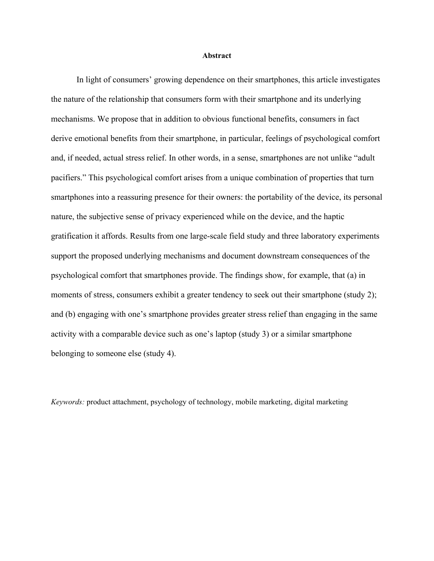#### **Abstract**

In light of consumers' growing dependence on their smartphones, this article investigates the nature of the relationship that consumers form with their smartphone and its underlying mechanisms. We propose that in addition to obvious functional benefits, consumers in fact derive emotional benefits from their smartphone, in particular, feelings of psychological comfort and, if needed, actual stress relief. In other words, in a sense, smartphones are not unlike "adult pacifiers." This psychological comfort arises from a unique combination of properties that turn smartphones into a reassuring presence for their owners: the portability of the device, its personal nature, the subjective sense of privacy experienced while on the device, and the haptic gratification it affords. Results from one large-scale field study and three laboratory experiments support the proposed underlying mechanisms and document downstream consequences of the psychological comfort that smartphones provide. The findings show, for example, that (a) in moments of stress, consumers exhibit a greater tendency to seek out their smartphone (study 2); and (b) engaging with one's smartphone provides greater stress relief than engaging in the same activity with a comparable device such as one's laptop (study 3) or a similar smartphone belonging to someone else (study 4).

*Keywords:* product attachment, psychology of technology, mobile marketing, digital marketing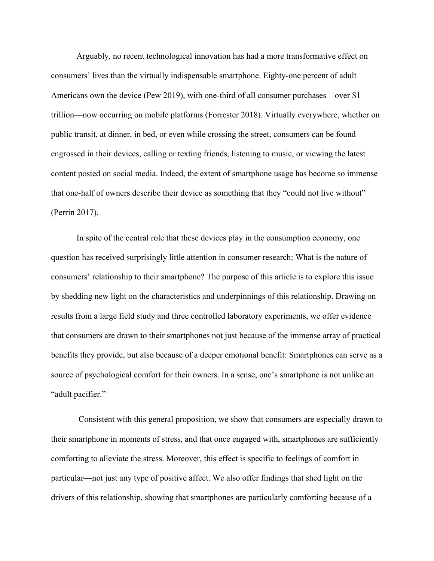Arguably, no recent technological innovation has had a more transformative effect on consumers' lives than the virtually indispensable smartphone. Eighty-one percent of adult Americans own the device (Pew 2019), with one-third of all consumer purchases—over \$1 trillion—now occurring on mobile platforms (Forrester 2018). Virtually everywhere, whether on public transit, at dinner, in bed, or even while crossing the street, consumers can be found engrossed in their devices, calling or texting friends, listening to music, or viewing the latest content posted on social media. Indeed, the extent of smartphone usage has become so immense that one-half of owners describe their device as something that they "could not live without" (Perrin 2017).

In spite of the central role that these devices play in the consumption economy, one question has received surprisingly little attention in consumer research: What is the nature of consumers' relationship to their smartphone? The purpose of this article is to explore this issue by shedding new light on the characteristics and underpinnings of this relationship. Drawing on results from a large field study and three controlled laboratory experiments, we offer evidence that consumers are drawn to their smartphones not just because of the immense array of practical benefits they provide, but also because of a deeper emotional benefit: Smartphones can serve as a source of psychological comfort for their owners. In a sense, one's smartphone is not unlike an "adult pacifier."

 Consistent with this general proposition, we show that consumers are especially drawn to their smartphone in moments of stress, and that once engaged with, smartphones are sufficiently comforting to alleviate the stress. Moreover, this effect is specific to feelings of comfort in particular—not just any type of positive affect. We also offer findings that shed light on the drivers of this relationship, showing that smartphones are particularly comforting because of a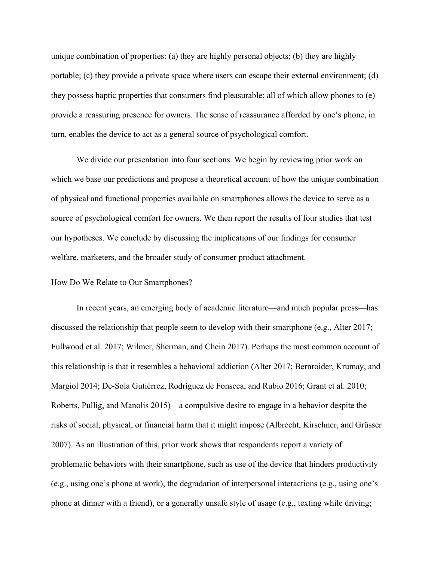unique combination of properties: (a) they are highly personal objects; (b) they are highly portable; (c) they provide a private space where users can escape their external environment; (d) they possess haptic properties that consumers find pleasurable; all of which allow phones to (e) provide a reassuring presence for owners. The sense of reassurance afforded by one's phone, in turn, enables the device to act as a general source of psychological comfort.

We divide our presentation into four sections. We begin by reviewing prior work on which we base our predictions and propose a theoretical account of how the unique combination of physical and functional properties available on smartphones allows the device to serve as a source of psychological comfort for owners. We then report the results of four studies that test our hypotheses. We conclude by discussing the implications of our findings for consumer welfare, marketers, and the broader study of consumer product attachment.

#### How Do We Relate to Our Smartphones?

 In recent years, an emerging body of academic literature—and much popular press—has discussed the relationship that people seem to develop with their smartphone (e.g., Alter 2017; Fullwood et al. 2017; Wilmer, Sherman, and Chein 2017). Perhaps the most common account of this relationship is that it resembles a behavioral addiction (Alter 2017; Bernroider, Krumay, and Margiol 2014; De-Sola Gutiérrez, Rodríguez de Fonseca, and Rubio 2016; Grant et al. 2010; Roberts, Pullig, and Manolis 2015)—a compulsive desire to engage in a behavior despite the risks of social, physical, or financial harm that it might impose (Albrecht, Kirschner, and Grüsser 2007). As an illustration of this, prior work shows that respondents report a variety of problematic behaviors with their smartphone, such as use of the device that hinders productivity (e.g., using one's phone at work), the degradation of interpersonal interactions (e.g., using one's phone at dinner with a friend), or a generally unsafe style of usage (e.g., texting while driving;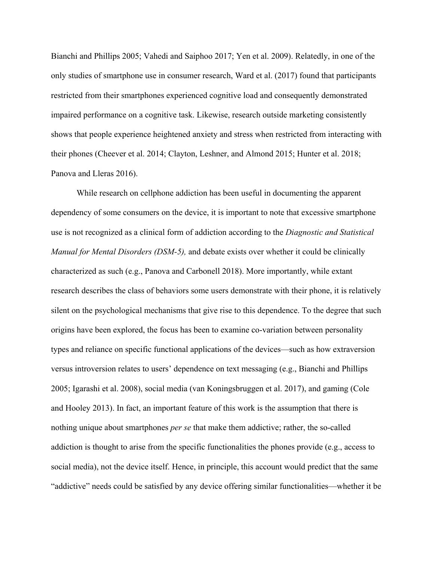Bianchi and Phillips 2005; Vahedi and Saiphoo 2017; Yen et al. 2009). Relatedly, in one of the only studies of smartphone use in consumer research, Ward et al. (2017) found that participants restricted from their smartphones experienced cognitive load and consequently demonstrated impaired performance on a cognitive task. Likewise, research outside marketing consistently shows that people experience heightened anxiety and stress when restricted from interacting with their phones (Cheever et al. 2014; Clayton, Leshner, and Almond 2015; Hunter et al. 2018; Panova and Lleras 2016).

 While research on cellphone addiction has been useful in documenting the apparent dependency of some consumers on the device, it is important to note that excessive smartphone use is not recognized as a clinical form of addiction according to the *Diagnostic and Statistical Manual for Mental Disorders (DSM-5),* and debate exists over whether it could be clinically characterized as such (e.g., Panova and Carbonell 2018). More importantly, while extant research describes the class of behaviors some users demonstrate with their phone, it is relatively silent on the psychological mechanisms that give rise to this dependence. To the degree that such origins have been explored, the focus has been to examine co-variation between personality types and reliance on specific functional applications of the devices—such as how extraversion versus introversion relates to users' dependence on text messaging (e.g., Bianchi and Phillips 2005; Igarashi et al. 2008), social media (van Koningsbruggen et al. 2017), and gaming (Cole and Hooley 2013). In fact, an important feature of this work is the assumption that there is nothing unique about smartphones *per se* that make them addictive; rather, the so-called addiction is thought to arise from the specific functionalities the phones provide (e.g., access to social media), not the device itself. Hence, in principle, this account would predict that the same "addictive" needs could be satisfied by any device offering similar functionalities—whether it be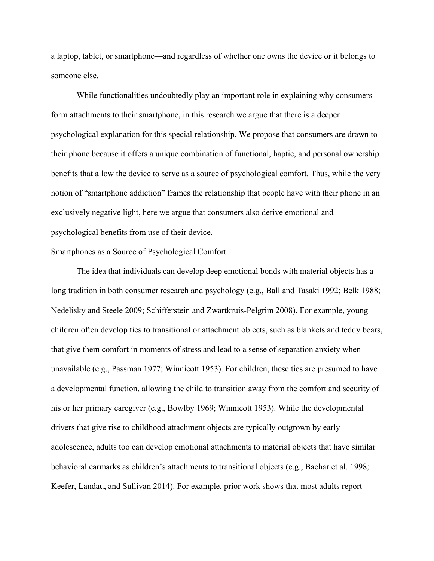a laptop, tablet, or smartphone—and regardless of whether one owns the device or it belongs to someone else.

While functionalities undoubtedly play an important role in explaining why consumers form attachments to their smartphone, in this research we argue that there is a deeper psychological explanation for this special relationship. We propose that consumers are drawn to their phone because it offers a unique combination of functional, haptic, and personal ownership benefits that allow the device to serve as a source of psychological comfort. Thus, while the very notion of "smartphone addiction" frames the relationship that people have with their phone in an exclusively negative light, here we argue that consumers also derive emotional and psychological benefits from use of their device.

## Smartphones as a Source of Psychological Comfort

The idea that individuals can develop deep emotional bonds with material objects has a long tradition in both consumer research and psychology (e.g., Ball and Tasaki 1992; Belk 1988; Nedelisky and Steele 2009; Schifferstein and Zwartkruis-Pelgrim 2008). For example, young children often develop ties to transitional or attachment objects, such as blankets and teddy bears, that give them comfort in moments of stress and lead to a sense of separation anxiety when unavailable (e.g., Passman 1977; Winnicott 1953). For children, these ties are presumed to have a developmental function, allowing the child to transition away from the comfort and security of his or her primary caregiver (e.g., Bowlby 1969; Winnicott 1953). While the developmental drivers that give rise to childhood attachment objects are typically outgrown by early adolescence, adults too can develop emotional attachments to material objects that have similar behavioral earmarks as children's attachments to transitional objects (e.g., Bachar et al. 1998; Keefer, Landau, and Sullivan 2014). For example, prior work shows that most adults report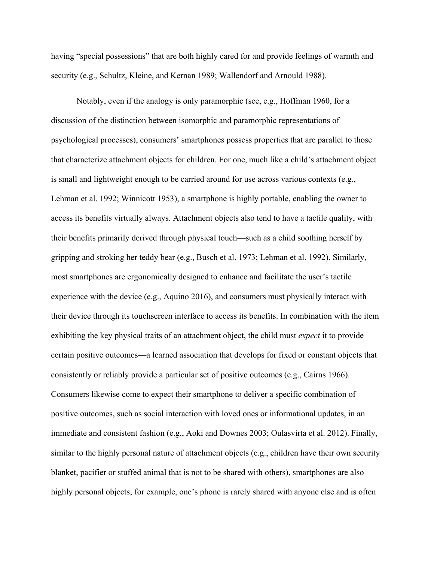having "special possessions" that are both highly cared for and provide feelings of warmth and security (e.g., Schultz, Kleine, and Kernan 1989; Wallendorf and Arnould 1988).

Notably, even if the analogy is only paramorphic (see, e.g., Hoffman 1960, for a discussion of the distinction between isomorphic and paramorphic representations of psychological processes), consumers' smartphones possess properties that are parallel to those that characterize attachment objects for children. For one, much like a child's attachment object is small and lightweight enough to be carried around for use across various contexts (e.g., Lehman et al. 1992; Winnicott 1953), a smartphone is highly portable, enabling the owner to access its benefits virtually always. Attachment objects also tend to have a tactile quality, with their benefits primarily derived through physical touch—such as a child soothing herself by gripping and stroking her teddy bear (e.g., Busch et al. 1973; Lehman et al. 1992). Similarly, most smartphones are ergonomically designed to enhance and facilitate the user's tactile experience with the device (e.g., Aquino 2016), and consumers must physically interact with their device through its touchscreen interface to access its benefits. In combination with the item exhibiting the key physical traits of an attachment object, the child must *expect* it to provide certain positive outcomes—a learned association that develops for fixed or constant objects that consistently or reliably provide a particular set of positive outcomes (e.g., Cairns 1966). Consumers likewise come to expect their smartphone to deliver a specific combination of positive outcomes, such as social interaction with loved ones or informational updates, in an immediate and consistent fashion (e.g., Aoki and Downes 2003; Oulasvirta et al. 2012). Finally, similar to the highly personal nature of attachment objects (e.g., children have their own security blanket, pacifier or stuffed animal that is not to be shared with others), smartphones are also highly personal objects; for example, one's phone is rarely shared with anyone else and is often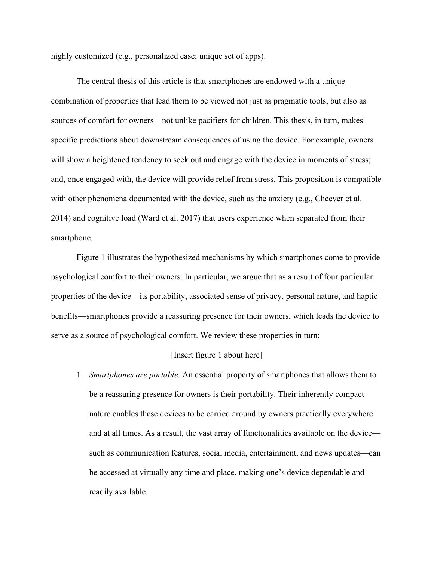highly customized (e.g., personalized case; unique set of apps).

The central thesis of this article is that smartphones are endowed with a unique combination of properties that lead them to be viewed not just as pragmatic tools, but also as sources of comfort for owners—not unlike pacifiers for children. This thesis, in turn, makes specific predictions about downstream consequences of using the device. For example, owners will show a heightened tendency to seek out and engage with the device in moments of stress; and, once engaged with, the device will provide relief from stress. This proposition is compatible with other phenomena documented with the device, such as the anxiety (e.g., Cheever et al. 2014) and cognitive load (Ward et al. 2017) that users experience when separated from their smartphone.

Figure 1 illustrates the hypothesized mechanisms by which smartphones come to provide psychological comfort to their owners. In particular, we argue that as a result of four particular properties of the device—its portability, associated sense of privacy, personal nature, and haptic benefits—smartphones provide a reassuring presence for their owners, which leads the device to serve as a source of psychological comfort. We review these properties in turn:

## [Insert figure 1 about here]

1. *Smartphones are portable.* An essential property of smartphones that allows them to be a reassuring presence for owners is their portability. Their inherently compact nature enables these devices to be carried around by owners practically everywhere and at all times. As a result, the vast array of functionalities available on the device such as communication features, social media, entertainment, and news updates—can be accessed at virtually any time and place, making one's device dependable and readily available.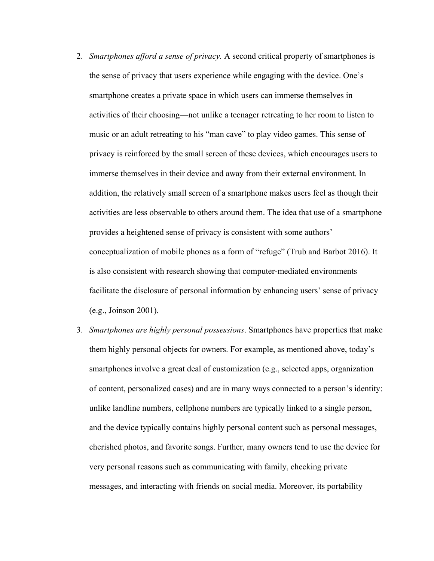- 2. *Smartphones afford a sense of privacy.* A second critical property of smartphones is the sense of privacy that users experience while engaging with the device. One's smartphone creates a private space in which users can immerse themselves in activities of their choosing—not unlike a teenager retreating to her room to listen to music or an adult retreating to his "man cave" to play video games. This sense of privacy is reinforced by the small screen of these devices, which encourages users to immerse themselves in their device and away from their external environment. In addition, the relatively small screen of a smartphone makes users feel as though their activities are less observable to others around them. The idea that use of a smartphone provides a heightened sense of privacy is consistent with some authors' conceptualization of mobile phones as a form of "refuge" (Trub and Barbot 2016). It is also consistent with research showing that computer-mediated environments facilitate the disclosure of personal information by enhancing users' sense of privacy (e.g., Joinson 2001).
- 3. *Smartphones are highly personal possessions*. Smartphones have properties that make them highly personal objects for owners. For example, as mentioned above, today's smartphones involve a great deal of customization (e.g., selected apps, organization of content, personalized cases) and are in many ways connected to a person's identity: unlike landline numbers, cellphone numbers are typically linked to a single person, and the device typically contains highly personal content such as personal messages, cherished photos, and favorite songs. Further, many owners tend to use the device for very personal reasons such as communicating with family, checking private messages, and interacting with friends on social media. Moreover, its portability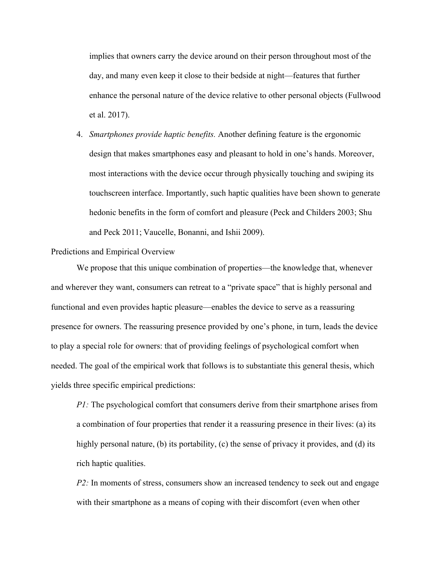implies that owners carry the device around on their person throughout most of the day, and many even keep it close to their bedside at night—features that further enhance the personal nature of the device relative to other personal objects (Fullwood et al. 2017).

4. *Smartphones provide haptic benefits.* Another defining feature is the ergonomic design that makes smartphones easy and pleasant to hold in one's hands. Moreover, most interactions with the device occur through physically touching and swiping its touchscreen interface. Importantly, such haptic qualities have been shown to generate hedonic benefits in the form of comfort and pleasure (Peck and Childers 2003; Shu and Peck 2011; Vaucelle, Bonanni, and Ishii 2009).

#### Predictions and Empirical Overview

We propose that this unique combination of properties—the knowledge that, whenever and wherever they want, consumers can retreat to a "private space" that is highly personal and functional and even provides haptic pleasure—enables the device to serve as a reassuring presence for owners. The reassuring presence provided by one's phone, in turn, leads the device to play a special role for owners: that of providing feelings of psychological comfort when needed. The goal of the empirical work that follows is to substantiate this general thesis, which yields three specific empirical predictions:

*P1*: The psychological comfort that consumers derive from their smartphone arises from a combination of four properties that render it a reassuring presence in their lives: (a) its highly personal nature, (b) its portability, (c) the sense of privacy it provides, and (d) its rich haptic qualities.

*P2*: In moments of stress, consumers show an increased tendency to seek out and engage with their smartphone as a means of coping with their discomfort (even when other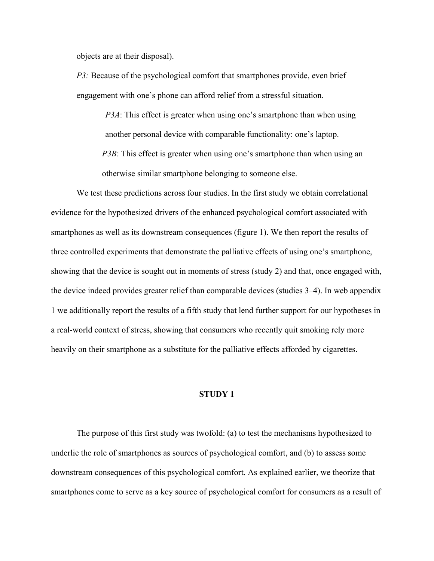objects are at their disposal).

*P3:* Because of the psychological comfort that smartphones provide, even brief engagement with one's phone can afford relief from a stressful situation.

> *P3A*: This effect is greater when using one's smartphone than when using another personal device with comparable functionality: one's laptop.

*P3B*: This effect is greater when using one's smartphone than when using an otherwise similar smartphone belonging to someone else.

We test these predictions across four studies. In the first study we obtain correlational evidence for the hypothesized drivers of the enhanced psychological comfort associated with smartphones as well as its downstream consequences (figure 1). We then report the results of three controlled experiments that demonstrate the palliative effects of using one's smartphone, showing that the device is sought out in moments of stress (study 2) and that, once engaged with, the device indeed provides greater relief than comparable devices (studies 3–4). In web appendix 1 we additionally report the results of a fifth study that lend further support for our hypotheses in a real-world context of stress, showing that consumers who recently quit smoking rely more heavily on their smartphone as a substitute for the palliative effects afforded by cigarettes.

#### **STUDY 1**

The purpose of this first study was twofold: (a) to test the mechanisms hypothesized to underlie the role of smartphones as sources of psychological comfort, and (b) to assess some downstream consequences of this psychological comfort. As explained earlier, we theorize that smartphones come to serve as a key source of psychological comfort for consumers as a result of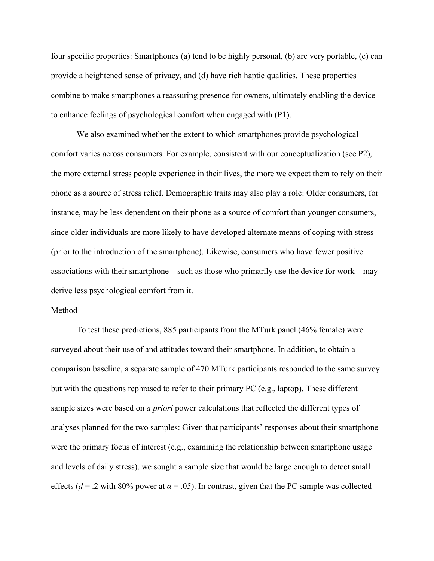four specific properties: Smartphones (a) tend to be highly personal, (b) are very portable, (c) can provide a heightened sense of privacy, and (d) have rich haptic qualities. These properties combine to make smartphones a reassuring presence for owners, ultimately enabling the device to enhance feelings of psychological comfort when engaged with (P1).

We also examined whether the extent to which smartphones provide psychological comfort varies across consumers. For example, consistent with our conceptualization (see P2), the more external stress people experience in their lives, the more we expect them to rely on their phone as a source of stress relief. Demographic traits may also play a role: Older consumers, for instance, may be less dependent on their phone as a source of comfort than younger consumers, since older individuals are more likely to have developed alternate means of coping with stress (prior to the introduction of the smartphone). Likewise, consumers who have fewer positive associations with their smartphone—such as those who primarily use the device for work—may derive less psychological comfort from it.

## Method

To test these predictions, 885 participants from the MTurk panel (46% female) were surveyed about their use of and attitudes toward their smartphone. In addition, to obtain a comparison baseline, a separate sample of 470 MTurk participants responded to the same survey but with the questions rephrased to refer to their primary PC (e.g., laptop). These different sample sizes were based on *a priori* power calculations that reflected the different types of analyses planned for the two samples: Given that participants' responses about their smartphone were the primary focus of interest (e.g., examining the relationship between smartphone usage and levels of daily stress), we sought a sample size that would be large enough to detect small effects ( $d = 0.2$  with 80% power at  $\alpha = 0.05$ ). In contrast, given that the PC sample was collected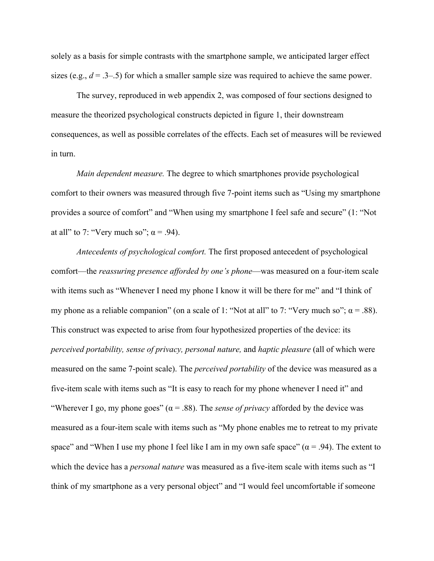solely as a basis for simple contrasts with the smartphone sample, we anticipated larger effect sizes (e.g.,  $d = 0.3$ – $0.5$ ) for which a smaller sample size was required to achieve the same power.

The survey, reproduced in web appendix 2, was composed of four sections designed to measure the theorized psychological constructs depicted in figure 1, their downstream consequences, as well as possible correlates of the effects. Each set of measures will be reviewed in turn.

*Main dependent measure.* The degree to which smartphones provide psychological comfort to their owners was measured through five 7-point items such as "Using my smartphone provides a source of comfort" and "When using my smartphone I feel safe and secure" (1: "Not at all" to 7: "Very much so";  $\alpha$  = .94).

*Antecedents of psychological comfort.* The first proposed antecedent of psychological comfort—the *reassuring presence afforded by one's phone*—was measured on a four-item scale with items such as "Whenever I need my phone I know it will be there for me" and "I think of my phone as a reliable companion" (on a scale of 1: "Not at all" to 7: "Very much so";  $\alpha$  = .88). This construct was expected to arise from four hypothesized properties of the device: its *perceived portability, sense of privacy, personal nature,* and *haptic pleasure* (all of which were measured on the same 7-point scale). The *perceived portability* of the device was measured as a five-item scale with items such as "It is easy to reach for my phone whenever I need it" and "Wherever I go, my phone goes"  $(\alpha = .88)$ . The *sense of privacy* afforded by the device was measured as a four-item scale with items such as "My phone enables me to retreat to my private space" and "When I use my phone I feel like I am in my own safe space" ( $\alpha$  = .94). The extent to which the device has a *personal nature* was measured as a five-item scale with items such as "I think of my smartphone as a very personal object" and "I would feel uncomfortable if someone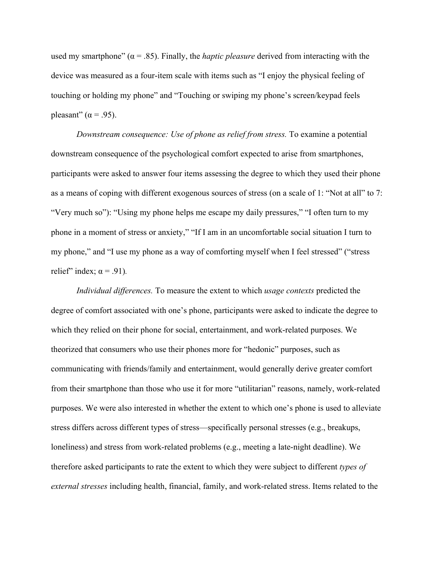used my smartphone"  $(\alpha = .85)$ . Finally, the *haptic pleasure* derived from interacting with the device was measured as a four-item scale with items such as "I enjoy the physical feeling of touching or holding my phone" and "Touching or swiping my phone's screen/keypad feels pleasant" ( $\alpha$  = .95).

*Downstream consequence: Use of phone as relief from stress.* To examine a potential downstream consequence of the psychological comfort expected to arise from smartphones, participants were asked to answer four items assessing the degree to which they used their phone as a means of coping with different exogenous sources of stress (on a scale of 1: "Not at all" to 7: "Very much so"): "Using my phone helps me escape my daily pressures," "I often turn to my phone in a moment of stress or anxiety," "If I am in an uncomfortable social situation I turn to my phone," and "I use my phone as a way of comforting myself when I feel stressed" ("stress relief" index;  $\alpha$  = .91).

*Individual differences.* To measure the extent to which *usage contexts* predicted the degree of comfort associated with one's phone, participants were asked to indicate the degree to which they relied on their phone for social, entertainment, and work-related purposes. We theorized that consumers who use their phones more for "hedonic" purposes, such as communicating with friends/family and entertainment, would generally derive greater comfort from their smartphone than those who use it for more "utilitarian" reasons, namely, work-related purposes. We were also interested in whether the extent to which one's phone is used to alleviate stress differs across different types of stress—specifically personal stresses (e.g., breakups, loneliness) and stress from work-related problems (e.g., meeting a late-night deadline). We therefore asked participants to rate the extent to which they were subject to different *types of external stresses* including health, financial, family, and work-related stress. Items related to the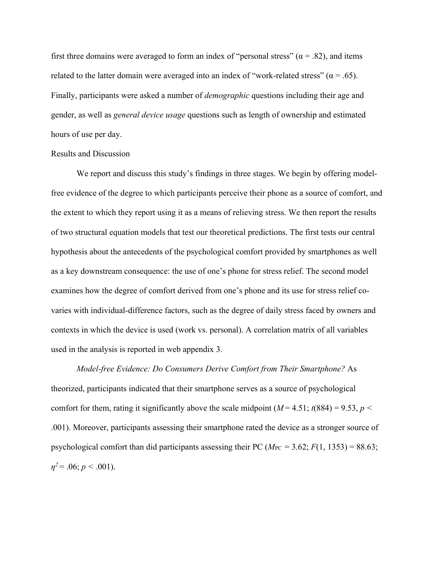first three domains were averaged to form an index of "personal stress" ( $\alpha$  = .82), and items related to the latter domain were averaged into an index of "work-related stress" ( $\alpha$  = .65). Finally, participants were asked a number of *demographic* questions including their age and gender, as well as *general device usage* questions such as length of ownership and estimated hours of use per day.

#### Results and Discussion

We report and discuss this study's findings in three stages. We begin by offering modelfree evidence of the degree to which participants perceive their phone as a source of comfort, and the extent to which they report using it as a means of relieving stress. We then report the results of two structural equation models that test our theoretical predictions. The first tests our central hypothesis about the antecedents of the psychological comfort provided by smartphones as well as a key downstream consequence: the use of one's phone for stress relief. The second model examines how the degree of comfort derived from one's phone and its use for stress relief covaries with individual-difference factors, such as the degree of daily stress faced by owners and contexts in which the device is used (work vs. personal). A correlation matrix of all variables used in the analysis is reported in web appendix 3.

*Model-free Evidence: Do Consumers Derive Comfort from Their Smartphone?* As theorized, participants indicated that their smartphone serves as a source of psychological comfort for them, rating it significantly above the scale midpoint  $(M = 4.51; t(884) = 9.53, p <$ .001). Moreover, participants assessing their smartphone rated the device as a stronger source of psychological comfort than did participants assessing their PC ( $M_{PC}$  = 3.62;  $F(1, 1353)$  = 88.63;  $\eta^2$  = .06; *p* < .001).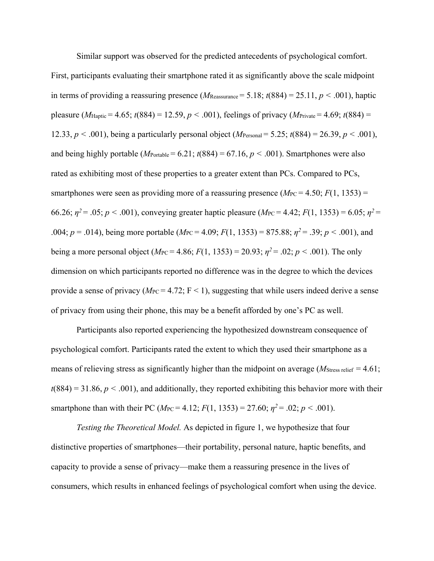Similar support was observed for the predicted antecedents of psychological comfort. First, participants evaluating their smartphone rated it as significantly above the scale midpoint in terms of providing a reassuring presence ( $M_{\text{Reasonance}} = 5.18$ ;  $t(884) = 25.11$ ,  $p < .001$ ), haptic pleasure ( $M_{\text{Haptic}} = 4.65$ ;  $t(884) = 12.59$ ,  $p < .001$ ), feelings of privacy ( $M_{\text{Private}} = 4.69$ ;  $t(884) =$ 12.33,  $p < .001$ ), being a particularly personal object (*M*<sub>Personal</sub> = 5.25;  $t(884) = 26.39, p < .001$ ), and being highly portable ( $M_{\text{Portable}} = 6.21$ ;  $t(884) = 67.16$ ,  $p < .001$ ). Smartphones were also rated as exhibiting most of these properties to a greater extent than PCs. Compared to PCs, smartphones were seen as providing more of a reassuring presence  $(M_{PC} = 4.50; F(1, 1353) =$ 66.26;  $\eta^2 = .05$ ;  $p < .001$ ), conveying greater haptic pleasure ( $M_{\text{PC}} = 4.42$ ;  $F(1, 1353) = 6.05$ ;  $\eta^2 =$ .004;  $p = .014$ ), being more portable ( $M_{PC} = 4.09$ ;  $F(1, 1353) = 875.88$ ;  $\eta^2 = .39$ ;  $p < .001$ ), and being a more personal object ( $M_{PC} = 4.86$ ;  $F(1, 1353) = 20.93$ ;  $\eta^2 = .02$ ;  $p < .001$ ). The only dimension on which participants reported no difference was in the degree to which the devices provide a sense of privacy ( $M_{\text{PC}}$  = 4.72; F < 1), suggesting that while users indeed derive a sense of privacy from using their phone, this may be a benefit afforded by one's PC as well.

Participants also reported experiencing the hypothesized downstream consequence of psychological comfort. Participants rated the extent to which they used their smartphone as a means of relieving stress as significantly higher than the midpoint on average ( $M<sub>Stress</sub>$ <sub>relief</sub> = 4.61;  $t(884) = 31.86, p < .001$ , and additionally, they reported exhibiting this behavior more with their smartphone than with their PC ( $M_{PC} = 4.12$ ;  $F(1, 1353) = 27.60$ ;  $\eta^2 = .02$ ;  $p < .001$ ).

*Testing the Theoretical Model.* As depicted in figure 1, we hypothesize that four distinctive properties of smartphones—their portability, personal nature, haptic benefits, and capacity to provide a sense of privacy—make them a reassuring presence in the lives of consumers, which results in enhanced feelings of psychological comfort when using the device.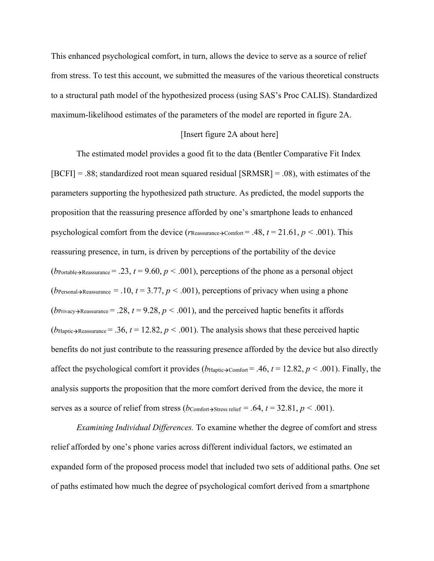This enhanced psychological comfort, in turn, allows the device to serve as a source of relief from stress. To test this account, we submitted the measures of the various theoretical constructs to a structural path model of the hypothesized process (using SAS's Proc CALIS). Standardized maximum-likelihood estimates of the parameters of the model are reported in figure 2A.

#### [Insert figure 2A about here]

The estimated model provides a good fit to the data (Bentler Comparative Fit Index [BCFI] = .88; standardized root mean squared residual [SRMSR] = .08), with estimates of the parameters supporting the hypothesized path structure. As predicted, the model supports the proposition that the reassuring presence afforded by one's smartphone leads to enhanced psychological comfort from the device ( $r_{\text{Reassurance} \rightarrow \text{Comfort}} = .48$ ,  $t = 21.61$ ,  $p < .001$ ). This reassuring presence, in turn, is driven by perceptions of the portability of the device (*b*Portable Reassurance = .23,  $t = 9.60$ ,  $p < .001$ ), perceptions of the phone as a personal object (*b*Personal >Reassurance = .10,  $t = 3.77$ ,  $p < .001$ ), perceptions of privacy when using a phone (*b*Privacy→Reassurance = .28,  $t = 9.28$ ,  $p < .001$ ), and the perceived haptic benefits it affords (*b*Haptic→Reassurance = .36,  $t = 12.82$ ,  $p < .001$ ). The analysis shows that these perceived haptic benefits do not just contribute to the reassuring presence afforded by the device but also directly affect the psychological comfort it provides ( $b_{\text{Haptic} \rightarrow \text{Comfort}} = .46$ ,  $t = 12.82$ ,  $p < .001$ ). Finally, the analysis supports the proposition that the more comfort derived from the device, the more it serves as a source of relief from stress ( $b$ Comfort $\rightarrow$ Stress relief = .64,  $t = 32.81$ ,  $p < .001$ ).

*Examining Individual Differences.* To examine whether the degree of comfort and stress relief afforded by one's phone varies across different individual factors, we estimated an expanded form of the proposed process model that included two sets of additional paths. One set of paths estimated how much the degree of psychological comfort derived from a smartphone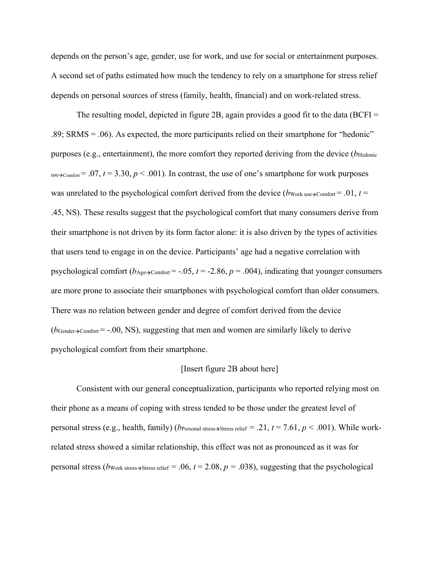depends on the person's age, gender, use for work, and use for social or entertainment purposes. A second set of paths estimated how much the tendency to rely on a smartphone for stress relief depends on personal sources of stress (family, health, financial) and on work-related stress.

The resulting model, depicted in figure 2B, again provides a good fit to the data ( $BCFI =$ .89; SRMS = .06). As expected, the more participants relied on their smartphone for "hedonic" purposes (e.g., entertainment), the more comfort they reported deriving from the device (*b*Hedonic use $\rightarrow$ Comfort = .07, *t* = 3.30, *p* < .001). In contrast, the use of one's smartphone for work purposes was unrelated to the psychological comfort derived from the device ( $b_{Work use }$ )-Comfort = .01,  $t =$ .45, NS). These results suggest that the psychological comfort that many consumers derive from their smartphone is not driven by its form factor alone: it is also driven by the types of activities that users tend to engage in on the device. Participants' age had a negative correlation with psychological comfort ( $b_{\text{Age}\rightarrow\text{Comfort}}$  = -.05, *t* = -2.86, *p* = .004), indicating that younger consumers are more prone to associate their smartphones with psychological comfort than older consumers. There was no relation between gender and degree of comfort derived from the device  $(b_{\text{Gender}}- \text{Comfort} = -.00, NS)$ , suggesting that men and women are similarly likely to derive psychological comfort from their smartphone.

## [Insert figure 2B about here]

Consistent with our general conceptualization, participants who reported relying most on their phone as a means of coping with stress tended to be those under the greatest level of personal stress (e.g., health, family) (*b*Personal stress $\rightarrow$ Stress relief = .21, *t* = 7.61, *p* < .001). While workrelated stress showed a similar relationship, this effect was not as pronounced as it was for personal stress ( $b_{\text{Work stress}\rightarrow\text{Stress}$  relief = .06,  $t = 2.08$ ,  $p = .038$ ), suggesting that the psychological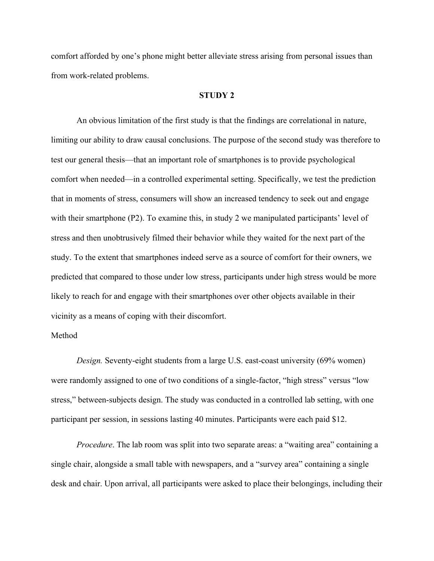comfort afforded by one's phone might better alleviate stress arising from personal issues than from work-related problems.

#### **STUDY 2**

 An obvious limitation of the first study is that the findings are correlational in nature, limiting our ability to draw causal conclusions. The purpose of the second study was therefore to test our general thesis—that an important role of smartphones is to provide psychological comfort when needed—in a controlled experimental setting. Specifically, we test the prediction that in moments of stress, consumers will show an increased tendency to seek out and engage with their smartphone (P2). To examine this, in study 2 we manipulated participants' level of stress and then unobtrusively filmed their behavior while they waited for the next part of the study. To the extent that smartphones indeed serve as a source of comfort for their owners, we predicted that compared to those under low stress, participants under high stress would be more likely to reach for and engage with their smartphones over other objects available in their vicinity as a means of coping with their discomfort.

## Method

*Design.* Seventy-eight students from a large U.S. east-coast university (69% women) were randomly assigned to one of two conditions of a single-factor, "high stress" versus "low stress," between-subjects design. The study was conducted in a controlled lab setting, with one participant per session, in sessions lasting 40 minutes. Participants were each paid \$12.

*Procedure*. The lab room was split into two separate areas: a "waiting area" containing a single chair, alongside a small table with newspapers, and a "survey area" containing a single desk and chair. Upon arrival, all participants were asked to place their belongings, including their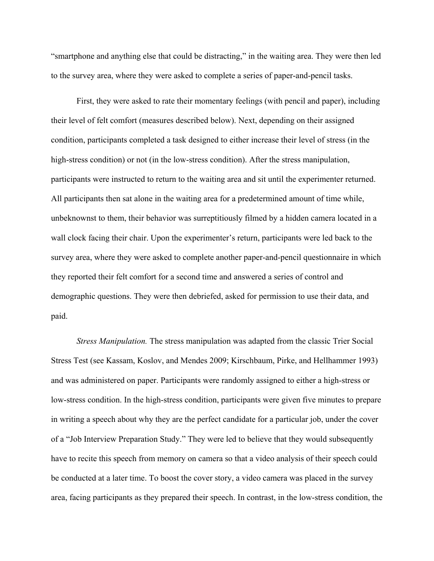"smartphone and anything else that could be distracting," in the waiting area. They were then led to the survey area, where they were asked to complete a series of paper-and-pencil tasks.

First, they were asked to rate their momentary feelings (with pencil and paper), including their level of felt comfort (measures described below). Next, depending on their assigned condition, participants completed a task designed to either increase their level of stress (in the high-stress condition) or not (in the low-stress condition). After the stress manipulation, participants were instructed to return to the waiting area and sit until the experimenter returned. All participants then sat alone in the waiting area for a predetermined amount of time while, unbeknownst to them, their behavior was surreptitiously filmed by a hidden camera located in a wall clock facing their chair. Upon the experimenter's return, participants were led back to the survey area, where they were asked to complete another paper-and-pencil questionnaire in which they reported their felt comfort for a second time and answered a series of control and demographic questions. They were then debriefed, asked for permission to use their data, and paid.

*Stress Manipulation.* The stress manipulation was adapted from the classic Trier Social Stress Test (see Kassam, Koslov, and Mendes 2009; Kirschbaum, Pirke, and Hellhammer 1993) and was administered on paper. Participants were randomly assigned to either a high-stress or low-stress condition. In the high-stress condition, participants were given five minutes to prepare in writing a speech about why they are the perfect candidate for a particular job, under the cover of a "Job Interview Preparation Study." They were led to believe that they would subsequently have to recite this speech from memory on camera so that a video analysis of their speech could be conducted at a later time. To boost the cover story, a video camera was placed in the survey area, facing participants as they prepared their speech. In contrast, in the low-stress condition, the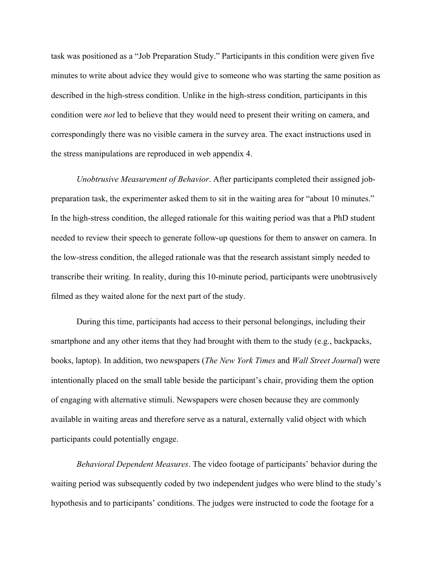task was positioned as a "Job Preparation Study." Participants in this condition were given five minutes to write about advice they would give to someone who was starting the same position as described in the high-stress condition. Unlike in the high-stress condition, participants in this condition were *not* led to believe that they would need to present their writing on camera, and correspondingly there was no visible camera in the survey area. The exact instructions used in the stress manipulations are reproduced in web appendix 4.

*Unobtrusive Measurement of Behavior*. After participants completed their assigned jobpreparation task, the experimenter asked them to sit in the waiting area for "about 10 minutes." In the high-stress condition, the alleged rationale for this waiting period was that a PhD student needed to review their speech to generate follow-up questions for them to answer on camera. In the low-stress condition, the alleged rationale was that the research assistant simply needed to transcribe their writing. In reality, during this 10-minute period, participants were unobtrusively filmed as they waited alone for the next part of the study.

During this time, participants had access to their personal belongings, including their smartphone and any other items that they had brought with them to the study (e.g., backpacks, books, laptop). In addition, two newspapers (*The New York Times* and *Wall Street Journal*) were intentionally placed on the small table beside the participant's chair, providing them the option of engaging with alternative stimuli. Newspapers were chosen because they are commonly available in waiting areas and therefore serve as a natural, externally valid object with which participants could potentially engage.

*Behavioral Dependent Measures*. The video footage of participants' behavior during the waiting period was subsequently coded by two independent judges who were blind to the study's hypothesis and to participants' conditions. The judges were instructed to code the footage for a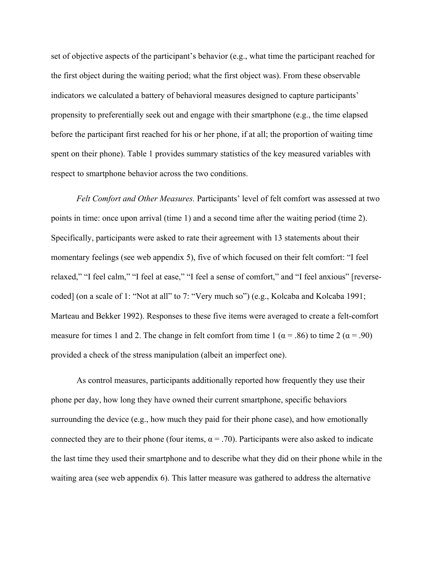set of objective aspects of the participant's behavior (e.g., what time the participant reached for the first object during the waiting period; what the first object was). From these observable indicators we calculated a battery of behavioral measures designed to capture participants' propensity to preferentially seek out and engage with their smartphone (e.g., the time elapsed before the participant first reached for his or her phone, if at all; the proportion of waiting time spent on their phone). Table 1 provides summary statistics of the key measured variables with respect to smartphone behavior across the two conditions.

*Felt Comfort and Other Measures.* Participants' level of felt comfort was assessed at two points in time: once upon arrival (time 1) and a second time after the waiting period (time 2). Specifically, participants were asked to rate their agreement with 13 statements about their momentary feelings (see web appendix 5), five of which focused on their felt comfort: "I feel relaxed," "I feel calm," "I feel at ease," "I feel a sense of comfort," and "I feel anxious" [reversecoded] (on a scale of 1: "Not at all" to 7: "Very much so") (e.g., Kolcaba and Kolcaba 1991; Marteau and Bekker 1992). Responses to these five items were averaged to create a felt-comfort measure for times 1 and 2. The change in felt comfort from time 1 ( $\alpha$  = .86) to time 2 ( $\alpha$  = .90) provided a check of the stress manipulation (albeit an imperfect one).

As control measures, participants additionally reported how frequently they use their phone per day, how long they have owned their current smartphone, specific behaviors surrounding the device (e.g., how much they paid for their phone case), and how emotionally connected they are to their phone (four items,  $\alpha = .70$ ). Participants were also asked to indicate the last time they used their smartphone and to describe what they did on their phone while in the waiting area (see web appendix 6). This latter measure was gathered to address the alternative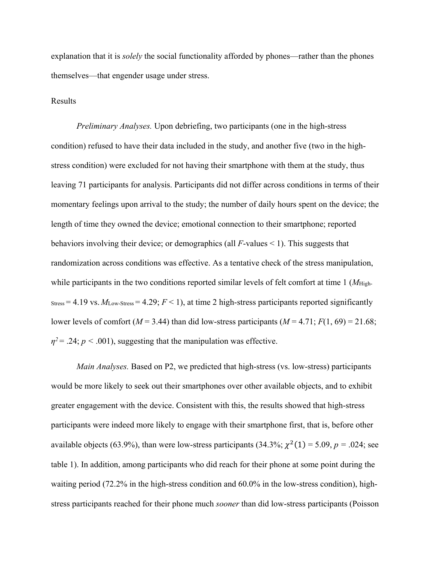explanation that it is *solely* the social functionality afforded by phones—rather than the phones themselves—that engender usage under stress.

### Results

 *Preliminary Analyses.* Upon debriefing, two participants (one in the high-stress condition) refused to have their data included in the study, and another five (two in the highstress condition) were excluded for not having their smartphone with them at the study, thus leaving 71 participants for analysis. Participants did not differ across conditions in terms of their momentary feelings upon arrival to the study; the number of daily hours spent on the device; the length of time they owned the device; emotional connection to their smartphone; reported behaviors involving their device; or demographics (all *F*-values < 1). This suggests that randomization across conditions was effective. As a tentative check of the stress manipulation, while participants in the two conditions reported similar levels of felt comfort at time 1 (*M*<sub>High-</sub>  $S_{\text{stress}} = 4.19$  vs.  $M_{\text{Low-Stress}} = 4.29$ ;  $F < 1$ ), at time 2 high-stress participants reported significantly lower levels of comfort ( $M = 3.44$ ) than did low-stress participants ( $M = 4.71$ ;  $F(1, 69) = 21.68$ ;  $\eta^2$  = .24; *p* < .001), suggesting that the manipulation was effective.

*Main Analyses.* Based on P2, we predicted that high-stress (vs. low-stress) participants would be more likely to seek out their smartphones over other available objects, and to exhibit greater engagement with the device. Consistent with this, the results showed that high-stress participants were indeed more likely to engage with their smartphone first, that is, before other available objects (63.9%), than were low-stress participants (34.3%;  $\chi^2(1) = 5.09$ ,  $p = .024$ ; see table 1). In addition, among participants who did reach for their phone at some point during the waiting period (72.2% in the high-stress condition and 60.0% in the low-stress condition), highstress participants reached for their phone much *sooner* than did low-stress participants (Poisson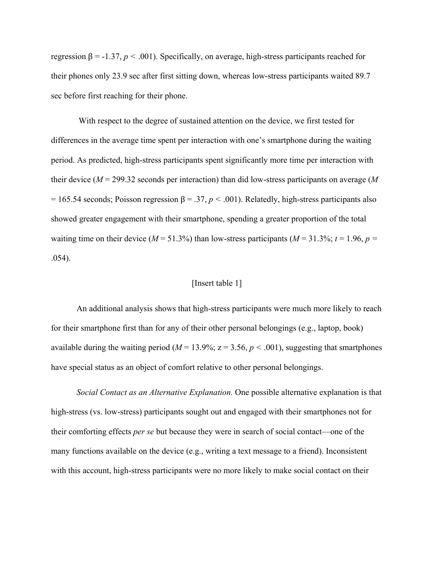regression β = -1.37, *p <* .001). Specifically, on average, high-stress participants reached for their phones only 23.9 sec after first sitting down, whereas low-stress participants waited 89.7 sec before first reaching for their phone.

 With respect to the degree of sustained attention on the device, we first tested for differences in the average time spent per interaction with one's smartphone during the waiting period. As predicted, high-stress participants spent significantly more time per interaction with their device (*M* = 299.32 seconds per interaction) than did low-stress participants on average (*M*  $= 165.54$  seconds; Poisson regression β = .37, *p* < .001). Relatedly, high-stress participants also showed greater engagement with their smartphone, spending a greater proportion of the total waiting time on their device ( $M = 51.3\%$ ) than low-stress participants ( $M = 31.3\%$ ;  $t = 1.96$ ,  $p =$ .054).

## [Insert table 1]

An additional analysis shows that high-stress participants were much more likely to reach for their smartphone first than for any of their other personal belongings (e.g., laptop, book) available during the waiting period ( $M = 13.9\%$ ;  $z = 3.56$ ,  $p < .001$ ), suggesting that smartphones have special status as an object of comfort relative to other personal belongings.

*Social Contact as an Alternative Explanation.* One possible alternative explanation is that high-stress (vs. low-stress) participants sought out and engaged with their smartphones not for their comforting effects *per se* but because they were in search of social contact—one of the many functions available on the device (e.g., writing a text message to a friend). Inconsistent with this account, high-stress participants were no more likely to make social contact on their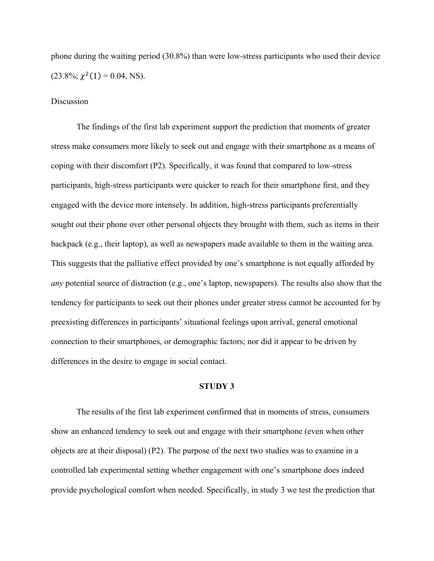phone during the waiting period (30.8%) than were low-stress participants who used their device  $(23.8\%; \chi^2(1) = 0.04, NS).$ 

#### Discussion

The findings of the first lab experiment support the prediction that moments of greater stress make consumers more likely to seek out and engage with their smartphone as a means of coping with their discomfort (P2). Specifically, it was found that compared to low-stress participants, high-stress participants were quicker to reach for their smartphone first, and they engaged with the device more intensely. In addition, high-stress participants preferentially sought out their phone over other personal objects they brought with them, such as items in their backpack (e.g., their laptop), as well as newspapers made available to them in the waiting area. This suggests that the palliative effect provided by one's smartphone is not equally afforded by *any* potential source of distraction (e.g., one's laptop, newspapers). The results also show that the tendency for participants to seek out their phones under greater stress cannot be accounted for by preexisting differences in participants' situational feelings upon arrival, general emotional connection to their smartphones, or demographic factors; nor did it appear to be driven by differences in the desire to engage in social contact.

# **STUDY 3**

The results of the first lab experiment confirmed that in moments of stress, consumers show an enhanced tendency to seek out and engage with their smartphone (even when other objects are at their disposal) (P2). The purpose of the next two studies was to examine in a controlled lab experimental setting whether engagement with one's smartphone does indeed provide psychological comfort when needed. Specifically, in study 3 we test the prediction that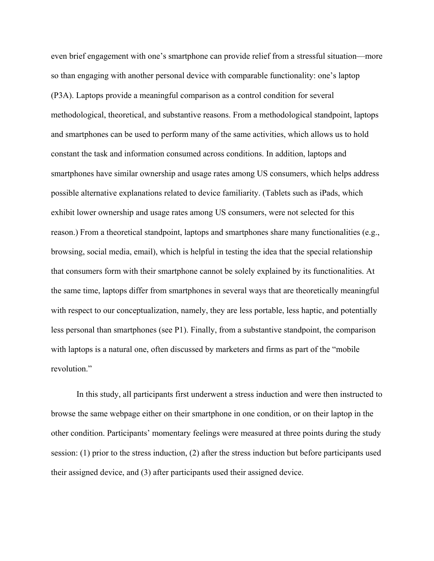even brief engagement with one's smartphone can provide relief from a stressful situation—more so than engaging with another personal device with comparable functionality: one's laptop (P3A). Laptops provide a meaningful comparison as a control condition for several methodological, theoretical, and substantive reasons. From a methodological standpoint, laptops and smartphones can be used to perform many of the same activities, which allows us to hold constant the task and information consumed across conditions. In addition, laptops and smartphones have similar ownership and usage rates among US consumers, which helps address possible alternative explanations related to device familiarity. (Tablets such as iPads, which exhibit lower ownership and usage rates among US consumers, were not selected for this reason.) From a theoretical standpoint, laptops and smartphones share many functionalities (e.g., browsing, social media, email), which is helpful in testing the idea that the special relationship that consumers form with their smartphone cannot be solely explained by its functionalities. At the same time, laptops differ from smartphones in several ways that are theoretically meaningful with respect to our conceptualization, namely, they are less portable, less haptic, and potentially less personal than smartphones (see P1). Finally, from a substantive standpoint, the comparison with laptops is a natural one, often discussed by marketers and firms as part of the "mobile revolution."

In this study, all participants first underwent a stress induction and were then instructed to browse the same webpage either on their smartphone in one condition, or on their laptop in the other condition. Participants' momentary feelings were measured at three points during the study session: (1) prior to the stress induction, (2) after the stress induction but before participants used their assigned device, and (3) after participants used their assigned device.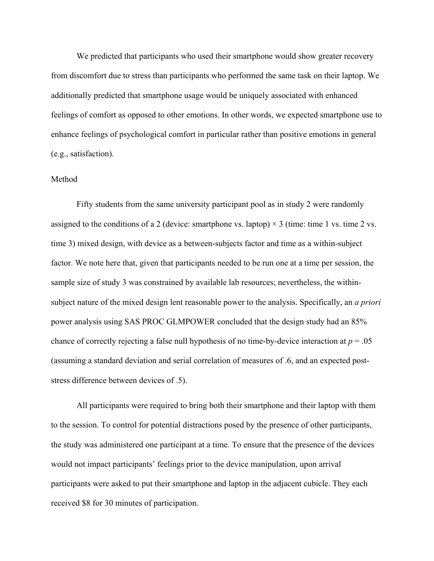We predicted that participants who used their smartphone would show greater recovery from discomfort due to stress than participants who performed the same task on their laptop. We additionally predicted that smartphone usage would be uniquely associated with enhanced feelings of comfort as opposed to other emotions. In other words, we expected smartphone use to enhance feelings of psychological comfort in particular rather than positive emotions in general (e.g., satisfaction).

### Method

Fifty students from the same university participant pool as in study 2 were randomly assigned to the conditions of a 2 (device: smartphone vs. laptop)  $\times$  3 (time: time 1 vs. time 2 vs. time 3) mixed design, with device as a between-subjects factor and time as a within-subject factor. We note here that, given that participants needed to be run one at a time per session, the sample size of study 3 was constrained by available lab resources; nevertheless, the withinsubject nature of the mixed design lent reasonable power to the analysis. Specifically, an *a priori* power analysis using SAS PROC GLMPOWER concluded that the design study had an 85% chance of correctly rejecting a false null hypothesis of no time-by-device interaction at  $p = .05$ (assuming a standard deviation and serial correlation of measures of .6, and an expected poststress difference between devices of .5).

All participants were required to bring both their smartphone and their laptop with them to the session. To control for potential distractions posed by the presence of other participants, the study was administered one participant at a time. To ensure that the presence of the devices would not impact participants' feelings prior to the device manipulation, upon arrival participants were asked to put their smartphone and laptop in the adjacent cubicle. They each received \$8 for 30 minutes of participation.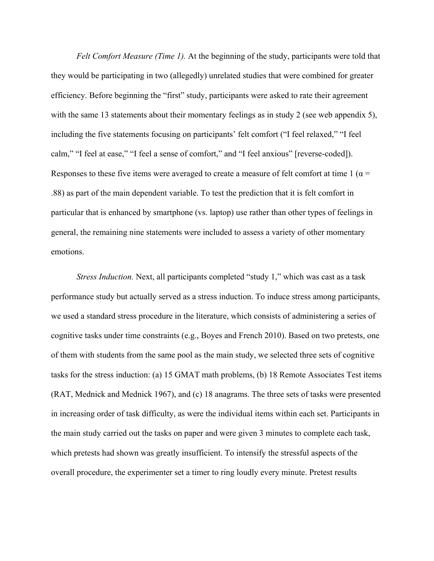*Felt Comfort Measure (Time 1).* At the beginning of the study, participants were told that they would be participating in two (allegedly) unrelated studies that were combined for greater efficiency. Before beginning the "first" study, participants were asked to rate their agreement with the same 13 statements about their momentary feelings as in study 2 (see web appendix 5), including the five statements focusing on participants' felt comfort ("I feel relaxed," "I feel calm," "I feel at ease," "I feel a sense of comfort," and "I feel anxious" [reverse-coded]). Responses to these five items were averaged to create a measure of felt comfort at time 1 ( $\alpha$  = .88) as part of the main dependent variable. To test the prediction that it is felt comfort in particular that is enhanced by smartphone (vs. laptop) use rather than other types of feelings in general, the remaining nine statements were included to assess a variety of other momentary emotions.

*Stress Induction.* Next, all participants completed "study 1," which was cast as a task performance study but actually served as a stress induction. To induce stress among participants, we used a standard stress procedure in the literature, which consists of administering a series of cognitive tasks under time constraints (e.g., Boyes and French 2010). Based on two pretests, one of them with students from the same pool as the main study, we selected three sets of cognitive tasks for the stress induction: (a) 15 GMAT math problems, (b) 18 Remote Associates Test items (RAT, Mednick and Mednick 1967), and (c) 18 anagrams. The three sets of tasks were presented in increasing order of task difficulty, as were the individual items within each set. Participants in the main study carried out the tasks on paper and were given 3 minutes to complete each task, which pretests had shown was greatly insufficient. To intensify the stressful aspects of the overall procedure, the experimenter set a timer to ring loudly every minute. Pretest results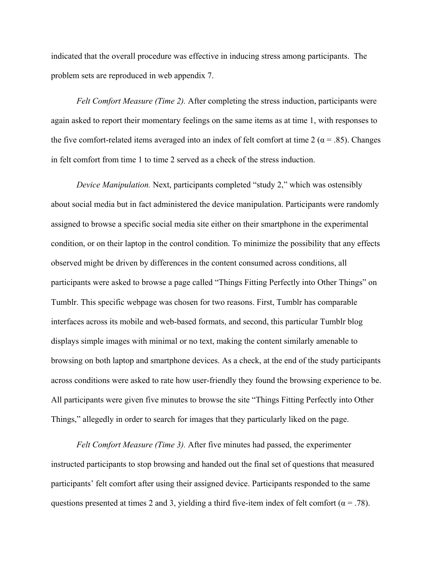indicated that the overall procedure was effective in inducing stress among participants. The problem sets are reproduced in web appendix 7.

*Felt Comfort Measure (Time 2).* After completing the stress induction, participants were again asked to report their momentary feelings on the same items as at time 1, with responses to the five comfort-related items averaged into an index of felt comfort at time 2 ( $\alpha$  = .85). Changes in felt comfort from time 1 to time 2 served as a check of the stress induction.

*Device Manipulation.* Next, participants completed "study 2," which was ostensibly about social media but in fact administered the device manipulation. Participants were randomly assigned to browse a specific social media site either on their smartphone in the experimental condition, or on their laptop in the control condition. To minimize the possibility that any effects observed might be driven by differences in the content consumed across conditions, all participants were asked to browse a page called "Things Fitting Perfectly into Other Things" on Tumblr. This specific webpage was chosen for two reasons. First, Tumblr has comparable interfaces across its mobile and web-based formats, and second, this particular Tumblr blog displays simple images with minimal or no text, making the content similarly amenable to browsing on both laptop and smartphone devices. As a check, at the end of the study participants across conditions were asked to rate how user-friendly they found the browsing experience to be. All participants were given five minutes to browse the site "Things Fitting Perfectly into Other Things," allegedly in order to search for images that they particularly liked on the page.

*Felt Comfort Measure (Time 3).* After five minutes had passed, the experimenter instructed participants to stop browsing and handed out the final set of questions that measured participants' felt comfort after using their assigned device. Participants responded to the same questions presented at times 2 and 3, yielding a third five-item index of felt comfort ( $\alpha = .78$ ).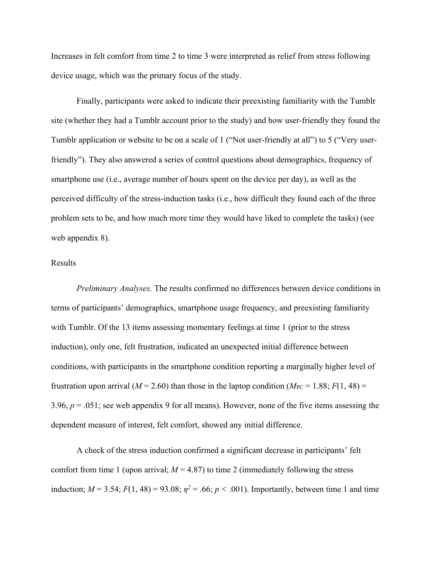Increases in felt comfort from time 2 to time 3 were interpreted as relief from stress following device usage, which was the primary focus of the study.

Finally, participants were asked to indicate their preexisting familiarity with the Tumblr site (whether they had a Tumblr account prior to the study) and how user-friendly they found the Tumblr application or website to be on a scale of 1 ("Not user-friendly at all") to 5 ("Very userfriendly"). They also answered a series of control questions about demographics, frequency of smartphone use (i.e., average number of hours spent on the device per day), as well as the perceived difficulty of the stress-induction tasks (i.e., how difficult they found each of the three problem sets to be, and how much more time they would have liked to complete the tasks) (see web appendix 8).

# Results

*Preliminary Analyses.* The results confirmed no differences between device conditions in terms of participants' demographics, smartphone usage frequency, and preexisting familiarity with Tumblr. Of the 13 items assessing momentary feelings at time 1 (prior to the stress induction), only one, felt frustration, indicated an unexpected initial difference between conditions, with participants in the smartphone condition reporting a marginally higher level of frustration upon arrival ( $M = 2.60$ ) than those in the laptop condition ( $M_{PC} = 1.88$ ;  $F(1, 48) =$ 3.96, *p* = .051; see web appendix 9 for all means). However, none of the five items assessing the dependent measure of interest, felt comfort, showed any initial difference.

A check of the stress induction confirmed a significant decrease in participants' felt comfort from time 1 (upon arrival;  $M = 4.87$ ) to time 2 (immediately following the stress induction;  $M = 3.54$ ;  $F(1, 48) = 93.08$ ;  $\eta^2 = .66$ ;  $p < .001$ ). Importantly, between time 1 and time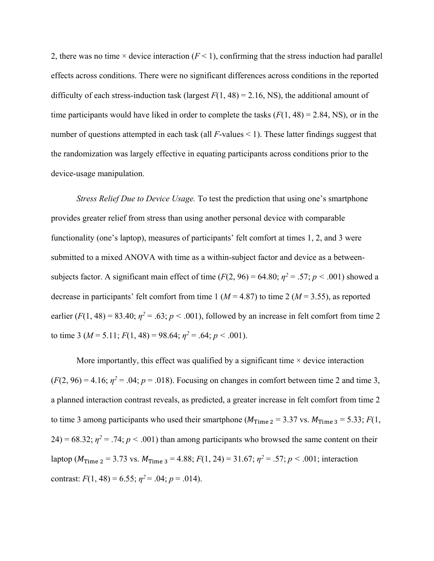2, there was no time  $\times$  device interaction ( $F$  < 1), confirming that the stress induction had parallel effects across conditions. There were no significant differences across conditions in the reported difficulty of each stress-induction task (largest  $F(1, 48) = 2.16$ , NS), the additional amount of time participants would have liked in order to complete the tasks  $(F(1, 48) = 2.84, NS)$ , or in the number of questions attempted in each task (all *F*-values < 1). These latter findings suggest that the randomization was largely effective in equating participants across conditions prior to the device-usage manipulation.

*Stress Relief Due to Device Usage.* To test the prediction that using one's smartphone provides greater relief from stress than using another personal device with comparable functionality (one's laptop), measures of participants' felt comfort at times 1, 2, and 3 were submitted to a mixed ANOVA with time as a within-subject factor and device as a betweensubjects factor. A significant main effect of time  $(F(2, 96) = 64.80; \eta^2 = .57; p < .001)$  showed a decrease in participants' felt comfort from time 1 ( $M = 4.87$ ) to time 2 ( $M = 3.55$ ), as reported earlier  $(F(1, 48) = 83.40; \eta^2 = .63; p < .001)$ , followed by an increase in felt comfort from time 2 to time 3 ( $M = 5.11$ ;  $F(1, 48) = 98.64$ ;  $\eta^2 = .64$ ;  $p < .001$ ).

More importantly, this effect was qualified by a significant time  $\times$  device interaction  $(F(2, 96) = 4.16; \eta^2 = .04; p = .018)$ . Focusing on changes in comfort between time 2 and time 3, a planned interaction contrast reveals, as predicted, a greater increase in felt comfort from time 2 to time 3 among participants who used their smartphone ( $M_{Time\ 2} = 3.37$  vs.  $M_{Time\ 3} = 5.33$ ;  $F(1, 1)$ 24) = 68.32;  $\eta^2$  = .74;  $p < .001$ ) than among participants who browsed the same content on their laptop ( $M_{Time\ 2} = 3.73$  vs.  $M_{Time\ 3} = 4.88$ ;  $F(1, 24) = 31.67$ ;  $\eta^2 = .57$ ;  $p < .001$ ; interaction contrast:  $F(1, 48) = 6.55$ ;  $\eta^2 = .04$ ;  $p = .014$ ).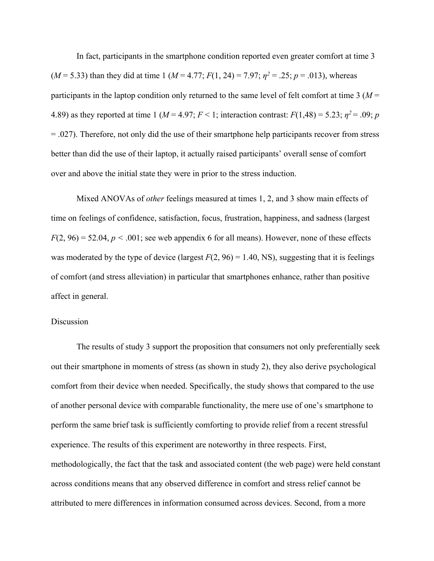In fact, participants in the smartphone condition reported even greater comfort at time 3 ( $M = 5.33$ ) than they did at time 1 ( $M = 4.77$ ;  $F(1, 24) = 7.97$ ;  $\eta^2 = .25$ ;  $p = .013$ ), whereas participants in the laptop condition only returned to the same level of felt comfort at time 3 (*M* = 4.89) as they reported at time 1 ( $M = 4.97$ ;  $F < 1$ ; interaction contrast:  $F(1,48) = 5.23$ ;  $\eta^2 = .09$ ; *p* = .027). Therefore, not only did the use of their smartphone help participants recover from stress better than did the use of their laptop, it actually raised participants' overall sense of comfort over and above the initial state they were in prior to the stress induction.

Mixed ANOVAs of *other* feelings measured at times 1, 2, and 3 show main effects of time on feelings of confidence, satisfaction, focus, frustration, happiness, and sadness (largest  $F(2, 96) = 52.04$ ,  $p < .001$ ; see web appendix 6 for all means). However, none of these effects was moderated by the type of device (largest  $F(2, 96) = 1.40$ , NS), suggesting that it is feelings of comfort (and stress alleviation) in particular that smartphones enhance, rather than positive affect in general.

#### Discussion

 The results of study 3 support the proposition that consumers not only preferentially seek out their smartphone in moments of stress (as shown in study 2), they also derive psychological comfort from their device when needed. Specifically, the study shows that compared to the use of another personal device with comparable functionality, the mere use of one's smartphone to perform the same brief task is sufficiently comforting to provide relief from a recent stressful experience. The results of this experiment are noteworthy in three respects. First, methodologically, the fact that the task and associated content (the web page) were held constant across conditions means that any observed difference in comfort and stress relief cannot be attributed to mere differences in information consumed across devices. Second, from a more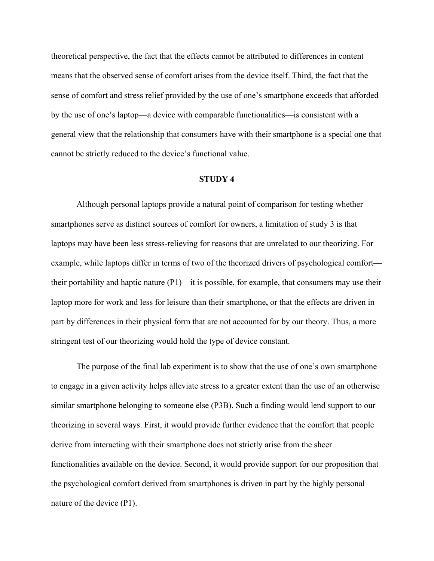theoretical perspective, the fact that the effects cannot be attributed to differences in content means that the observed sense of comfort arises from the device itself. Third, the fact that the sense of comfort and stress relief provided by the use of one's smartphone exceeds that afforded by the use of one's laptop—a device with comparable functionalities—is consistent with a general view that the relationship that consumers have with their smartphone is a special one that cannot be strictly reduced to the device's functional value.

#### **STUDY 4**

Although personal laptops provide a natural point of comparison for testing whether smartphones serve as distinct sources of comfort for owners, a limitation of study 3 is that laptops may have been less stress-relieving for reasons that are unrelated to our theorizing. For example, while laptops differ in terms of two of the theorized drivers of psychological comfort their portability and haptic nature (P1)—it is possible, for example, that consumers may use their laptop more for work and less for leisure than their smartphone**,** or that the effects are driven in part by differences in their physical form that are not accounted for by our theory. Thus, a more stringent test of our theorizing would hold the type of device constant.

The purpose of the final lab experiment is to show that the use of one's own smartphone to engage in a given activity helps alleviate stress to a greater extent than the use of an otherwise similar smartphone belonging to someone else (P3B). Such a finding would lend support to our theorizing in several ways. First, it would provide further evidence that the comfort that people derive from interacting with their smartphone does not strictly arise from the sheer functionalities available on the device. Second, it would provide support for our proposition that the psychological comfort derived from smartphones is driven in part by the highly personal nature of the device (P1).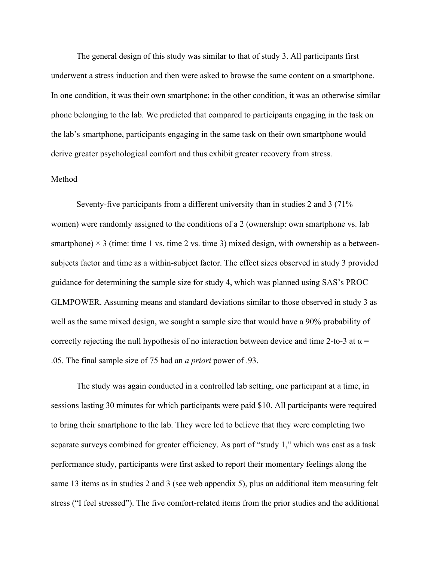The general design of this study was similar to that of study 3. All participants first underwent a stress induction and then were asked to browse the same content on a smartphone. In one condition, it was their own smartphone; in the other condition, it was an otherwise similar phone belonging to the lab. We predicted that compared to participants engaging in the task on the lab's smartphone, participants engaging in the same task on their own smartphone would derive greater psychological comfort and thus exhibit greater recovery from stress.

### Method

Seventy-five participants from a different university than in studies 2 and 3 (71% women) were randomly assigned to the conditions of a 2 (ownership: own smartphone vs. lab smartphone)  $\times$  3 (time: time 1 vs. time 2 vs. time 3) mixed design, with ownership as a betweensubjects factor and time as a within-subject factor. The effect sizes observed in study 3 provided guidance for determining the sample size for study 4, which was planned using SAS's PROC GLMPOWER. Assuming means and standard deviations similar to those observed in study 3 as well as the same mixed design, we sought a sample size that would have a 90% probability of correctly rejecting the null hypothesis of no interaction between device and time 2-to-3 at  $\alpha$  = .05. The final sample size of 75 had an *a priori* power of .93.

The study was again conducted in a controlled lab setting, one participant at a time, in sessions lasting 30 minutes for which participants were paid \$10. All participants were required to bring their smartphone to the lab. They were led to believe that they were completing two separate surveys combined for greater efficiency. As part of "study 1," which was cast as a task performance study, participants were first asked to report their momentary feelings along the same 13 items as in studies 2 and 3 (see web appendix 5), plus an additional item measuring felt stress ("I feel stressed"). The five comfort-related items from the prior studies and the additional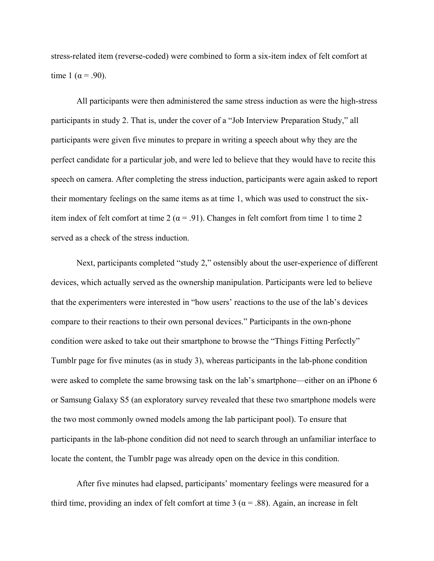stress-related item (reverse-coded) were combined to form a six-item index of felt comfort at time 1 ( $\alpha$  = .90).

All participants were then administered the same stress induction as were the high-stress participants in study 2. That is, under the cover of a "Job Interview Preparation Study," all participants were given five minutes to prepare in writing a speech about why they are the perfect candidate for a particular job, and were led to believe that they would have to recite this speech on camera. After completing the stress induction, participants were again asked to report their momentary feelings on the same items as at time 1, which was used to construct the sixitem index of felt comfort at time 2 ( $\alpha$  = .91). Changes in felt comfort from time 1 to time 2 served as a check of the stress induction.

Next, participants completed "study 2," ostensibly about the user-experience of different devices, which actually served as the ownership manipulation. Participants were led to believe that the experimenters were interested in "how users' reactions to the use of the lab's devices compare to their reactions to their own personal devices." Participants in the own-phone condition were asked to take out their smartphone to browse the "Things Fitting Perfectly" Tumblr page for five minutes (as in study 3), whereas participants in the lab-phone condition were asked to complete the same browsing task on the lab's smartphone—either on an iPhone 6 or Samsung Galaxy S5 (an exploratory survey revealed that these two smartphone models were the two most commonly owned models among the lab participant pool). To ensure that participants in the lab-phone condition did not need to search through an unfamiliar interface to locate the content, the Tumblr page was already open on the device in this condition.

After five minutes had elapsed, participants' momentary feelings were measured for a third time, providing an index of felt comfort at time 3 ( $\alpha$  = .88). Again, an increase in felt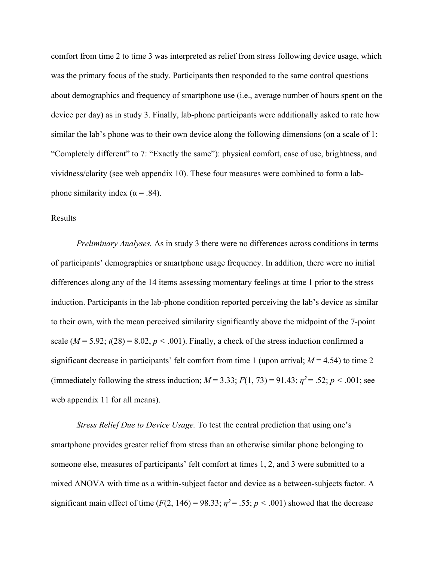comfort from time 2 to time 3 was interpreted as relief from stress following device usage, which was the primary focus of the study. Participants then responded to the same control questions about demographics and frequency of smartphone use (i.e., average number of hours spent on the device per day) as in study 3. Finally, lab-phone participants were additionally asked to rate how similar the lab's phone was to their own device along the following dimensions (on a scale of 1: "Completely different" to 7: "Exactly the same"): physical comfort, ease of use, brightness, and vividness/clarity (see web appendix 10). These four measures were combined to form a labphone similarity index ( $\alpha$  = .84).

# Results

*Preliminary Analyses.* As in study 3 there were no differences across conditions in terms of participants' demographics or smartphone usage frequency. In addition, there were no initial differences along any of the 14 items assessing momentary feelings at time 1 prior to the stress induction. Participants in the lab-phone condition reported perceiving the lab's device as similar to their own, with the mean perceived similarity significantly above the midpoint of the 7-point scale  $(M = 5.92; t(28) = 8.02, p < .001)$ . Finally, a check of the stress induction confirmed a significant decrease in participants' felt comfort from time 1 (upon arrival;  $M = 4.54$ ) to time 2 (immediately following the stress induction;  $M = 3.33$ ;  $F(1, 73) = 91.43$ ;  $\eta^2 = .52$ ;  $p < .001$ ; see web appendix 11 for all means).

*Stress Relief Due to Device Usage.* To test the central prediction that using one's smartphone provides greater relief from stress than an otherwise similar phone belonging to someone else, measures of participants' felt comfort at times 1, 2, and 3 were submitted to a mixed ANOVA with time as a within-subject factor and device as a between-subjects factor. A significant main effect of time ( $F(2, 146) = 98.33$ ;  $\eta^2 = .55$ ;  $p < .001$ ) showed that the decrease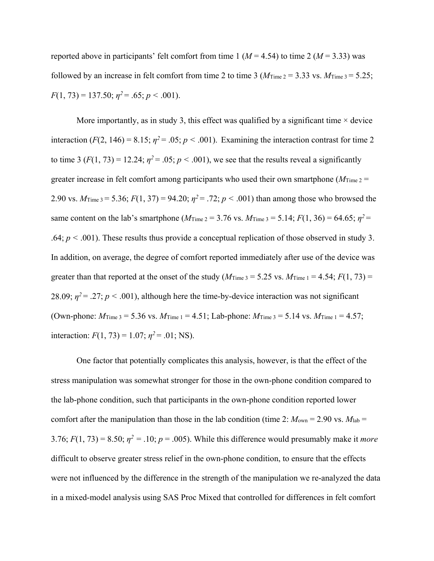reported above in participants' felt comfort from time 1 ( $M = 4.54$ ) to time 2 ( $M = 3.33$ ) was followed by an increase in felt comfort from time 2 to time 3 ( $M$ <sub>Time 2</sub> = 3.33 vs.  $M$ <sub>Time</sub> 3 = 5.25;  $F(1, 73) = 137.50; \eta^2 = .65; \rho < .001$ .

More importantly, as in study 3, this effect was qualified by a significant time  $\times$  device interaction ( $F(2, 146) = 8.15$ ;  $\eta^2 = .05$ ;  $p < .001$ ). Examining the interaction contrast for time 2 to time 3 ( $F(1, 73) = 12.24$ ;  $\eta^2 = .05$ ;  $p < .001$ ), we see that the results reveal a significantly greater increase in felt comfort among participants who used their own smartphone ( $M_{Time 2}$  = 2.90 vs.  $M_{\text{Time 3}} = 5.36$ ;  $F(1, 37) = 94.20$ ;  $\eta^2 = .72$ ;  $p < .001$ ) than among those who browsed the same content on the lab's smartphone ( $M_{Time\ 2} = 3.76$  vs.  $M_{Time\ 3} = 5.14$ ;  $F(1, 36) = 64.65$ ;  $\eta^2 =$ .64;  $p < .001$ ). These results thus provide a conceptual replication of those observed in study 3. In addition, on average, the degree of comfort reported immediately after use of the device was greater than that reported at the onset of the study ( $M_{Time\,3} = 5.25$  vs.  $M_{Time\,1} = 4.54$ ;  $F(1, 73) =$ 28.09;  $\eta^2$  = .27;  $p < .001$ ), although here the time-by-device interaction was not significant (Own-phone:  $M_{\text{Time 3}} = 5.36$  vs.  $M_{\text{Time 1}} = 4.51$ ; Lab-phone:  $M_{\text{Time 3}} = 5.14$  vs.  $M_{\text{Time 1}} = 4.57$ ; interaction:  $F(1, 73) = 1.07$ ;  $\eta^2 = .01$ ; NS).

One factor that potentially complicates this analysis, however, is that the effect of the stress manipulation was somewhat stronger for those in the own-phone condition compared to the lab-phone condition, such that participants in the own-phone condition reported lower comfort after the manipulation than those in the lab condition (time 2:  $M_{\text{own}} = 2.90$  vs.  $M_{\text{lab}} =$ 3.76;  $F(1, 73) = 8.50$ ;  $\eta^2 = .10$ ;  $p = .005$ ). While this difference would presumably make it *more* difficult to observe greater stress relief in the own-phone condition, to ensure that the effects were not influenced by the difference in the strength of the manipulation we re-analyzed the data in a mixed-model analysis using SAS Proc Mixed that controlled for differences in felt comfort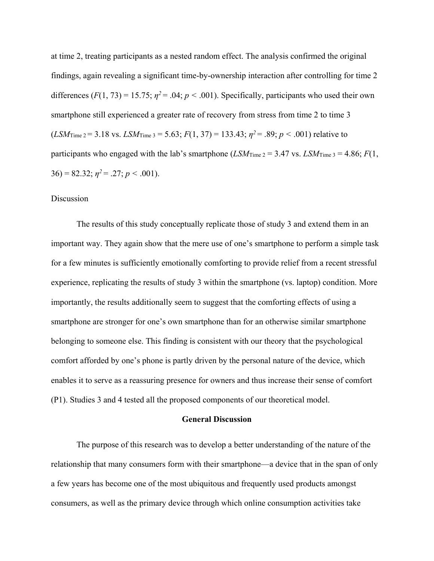at time 2, treating participants as a nested random effect. The analysis confirmed the original findings, again revealing a significant time-by-ownership interaction after controlling for time 2 differences  $(F(1, 73) = 15.75; \eta^2 = .04; p < .001)$ . Specifically, participants who used their own smartphone still experienced a greater rate of recovery from stress from time 2 to time 3  $(LSM_{Time\ 2} = 3.18 \text{ vs. } LSM_{Time\ 3} = 5.63; F(1, 37) = 133.43; \eta^2 = .89; p < .001$ ) relative to participants who engaged with the lab's smartphone ( $LSM$ Time  $2 = 3.47$  vs.  $LSM$ Time  $3 = 4.86$ ;  $F(1, 1)$  $36$ ) = 82.32;  $\eta^2$  = .27;  $p < .001$ ).

# Discussion

The results of this study conceptually replicate those of study 3 and extend them in an important way. They again show that the mere use of one's smartphone to perform a simple task for a few minutes is sufficiently emotionally comforting to provide relief from a recent stressful experience, replicating the results of study 3 within the smartphone (vs. laptop) condition. More importantly, the results additionally seem to suggest that the comforting effects of using a smartphone are stronger for one's own smartphone than for an otherwise similar smartphone belonging to someone else. This finding is consistent with our theory that the psychological comfort afforded by one's phone is partly driven by the personal nature of the device, which enables it to serve as a reassuring presence for owners and thus increase their sense of comfort (P1). Studies 3 and 4 tested all the proposed components of our theoretical model.

#### **General Discussion**

The purpose of this research was to develop a better understanding of the nature of the relationship that many consumers form with their smartphone—a device that in the span of only a few years has become one of the most ubiquitous and frequently used products amongst consumers, as well as the primary device through which online consumption activities take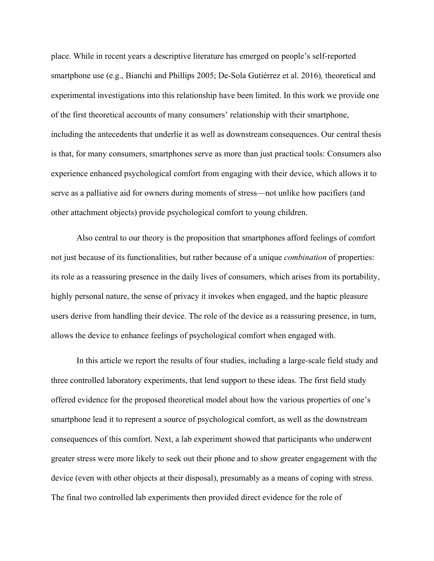place. While in recent years a descriptive literature has emerged on people's self-reported smartphone use (e.g., Bianchi and Phillips 2005; De-Sola Gutiérrez et al. 2016)*,* theoretical and experimental investigations into this relationship have been limited. In this work we provide one of the first theoretical accounts of many consumers' relationship with their smartphone, including the antecedents that underlie it as well as downstream consequences. Our central thesis is that, for many consumers, smartphones serve as more than just practical tools: Consumers also experience enhanced psychological comfort from engaging with their device, which allows it to serve as a palliative aid for owners during moments of stress—not unlike how pacifiers (and other attachment objects) provide psychological comfort to young children.

Also central to our theory is the proposition that smartphones afford feelings of comfort not just because of its functionalities, but rather because of a unique *combination* of properties: its role as a reassuring presence in the daily lives of consumers, which arises from its portability, highly personal nature, the sense of privacy it invokes when engaged, and the haptic pleasure users derive from handling their device. The role of the device as a reassuring presence, in turn, allows the device to enhance feelings of psychological comfort when engaged with.

In this article we report the results of four studies, including a large-scale field study and three controlled laboratory experiments, that lend support to these ideas. The first field study offered evidence for the proposed theoretical model about how the various properties of one's smartphone lead it to represent a source of psychological comfort, as well as the downstream consequences of this comfort. Next, a lab experiment showed that participants who underwent greater stress were more likely to seek out their phone and to show greater engagement with the device (even with other objects at their disposal), presumably as a means of coping with stress. The final two controlled lab experiments then provided direct evidence for the role of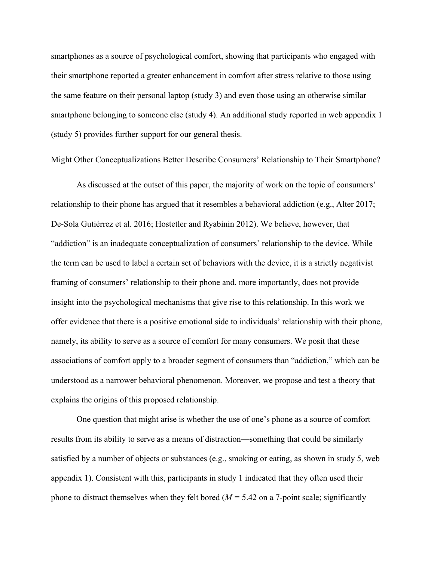smartphones as a source of psychological comfort, showing that participants who engaged with their smartphone reported a greater enhancement in comfort after stress relative to those using the same feature on their personal laptop (study 3) and even those using an otherwise similar smartphone belonging to someone else (study 4). An additional study reported in web appendix 1 (study 5) provides further support for our general thesis.

Might Other Conceptualizations Better Describe Consumers' Relationship to Their Smartphone?

As discussed at the outset of this paper, the majority of work on the topic of consumers' relationship to their phone has argued that it resembles a behavioral addiction (e.g., Alter 2017; De-Sola Gutiérrez et al. 2016; Hostetler and Ryabinin 2012). We believe, however, that "addiction" is an inadequate conceptualization of consumers' relationship to the device. While the term can be used to label a certain set of behaviors with the device, it is a strictly negativist framing of consumers' relationship to their phone and, more importantly, does not provide insight into the psychological mechanisms that give rise to this relationship. In this work we offer evidence that there is a positive emotional side to individuals' relationship with their phone, namely, its ability to serve as a source of comfort for many consumers. We posit that these associations of comfort apply to a broader segment of consumers than "addiction," which can be understood as a narrower behavioral phenomenon. Moreover, we propose and test a theory that explains the origins of this proposed relationship.

One question that might arise is whether the use of one's phone as a source of comfort results from its ability to serve as a means of distraction—something that could be similarly satisfied by a number of objects or substances (e.g., smoking or eating, as shown in study 5, web appendix 1). Consistent with this, participants in study 1 indicated that they often used their phone to distract themselves when they felt bored (*M =* 5.42 on a 7-point scale; significantly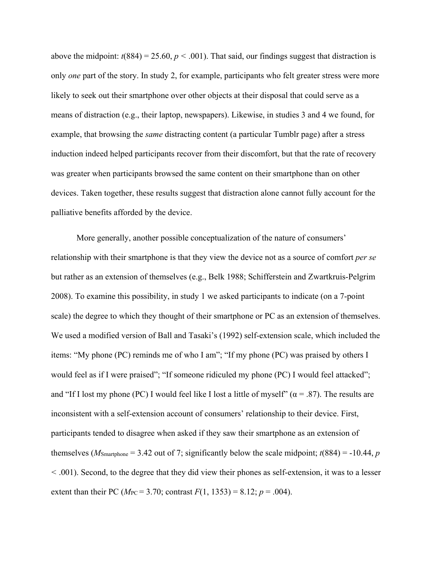above the midpoint:  $t(884) = 25.60, p < .001$ ). That said, our findings suggest that distraction is only *one* part of the story. In study 2, for example, participants who felt greater stress were more likely to seek out their smartphone over other objects at their disposal that could serve as a means of distraction (e.g., their laptop, newspapers). Likewise, in studies 3 and 4 we found, for example, that browsing the *same* distracting content (a particular Tumblr page) after a stress induction indeed helped participants recover from their discomfort, but that the rate of recovery was greater when participants browsed the same content on their smartphone than on other devices. Taken together, these results suggest that distraction alone cannot fully account for the palliative benefits afforded by the device.

More generally, another possible conceptualization of the nature of consumers' relationship with their smartphone is that they view the device not as a source of comfort *per se* but rather as an extension of themselves (e.g., Belk 1988; Schifferstein and Zwartkruis-Pelgrim 2008). To examine this possibility, in study 1 we asked participants to indicate (on a 7-point scale) the degree to which they thought of their smartphone or PC as an extension of themselves. We used a modified version of Ball and Tasaki's (1992) self-extension scale, which included the items: "My phone (PC) reminds me of who I am"; "If my phone (PC) was praised by others I would feel as if I were praised"; "If someone ridiculed my phone (PC) I would feel attacked"; and "If I lost my phone (PC) I would feel like I lost a little of myself" ( $\alpha$  = .87). The results are inconsistent with a self-extension account of consumers' relationship to their device. First, participants tended to disagree when asked if they saw their smartphone as an extension of themselves ( $M_{\text{Smartphone}} = 3.42$  out of 7; significantly below the scale midpoint;  $t(884) = -10.44$ , *p <* .001). Second, to the degree that they did view their phones as self-extension, it was to a lesser extent than their PC ( $M_{PC}$  = 3.70; contrast  $F(1, 1353) = 8.12$ ;  $p = .004$ ).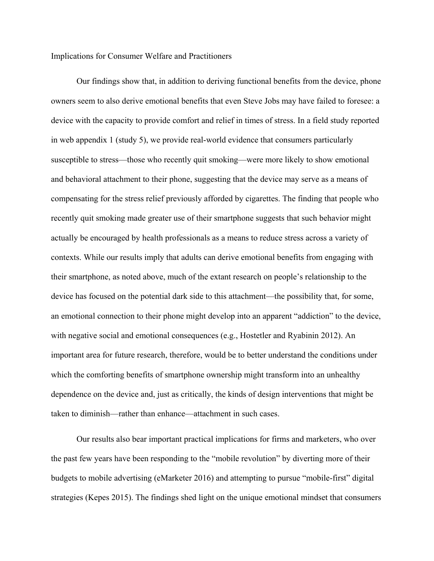Implications for Consumer Welfare and Practitioners

Our findings show that, in addition to deriving functional benefits from the device, phone owners seem to also derive emotional benefits that even Steve Jobs may have failed to foresee: a device with the capacity to provide comfort and relief in times of stress. In a field study reported in web appendix 1 (study 5), we provide real-world evidence that consumers particularly susceptible to stress—those who recently quit smoking—were more likely to show emotional and behavioral attachment to their phone, suggesting that the device may serve as a means of compensating for the stress relief previously afforded by cigarettes. The finding that people who recently quit smoking made greater use of their smartphone suggests that such behavior might actually be encouraged by health professionals as a means to reduce stress across a variety of contexts. While our results imply that adults can derive emotional benefits from engaging with their smartphone, as noted above, much of the extant research on people's relationship to the device has focused on the potential dark side to this attachment—the possibility that, for some, an emotional connection to their phone might develop into an apparent "addiction" to the device, with negative social and emotional consequences (e.g., Hostetler and Ryabinin 2012). An important area for future research, therefore, would be to better understand the conditions under which the comforting benefits of smartphone ownership might transform into an unhealthy dependence on the device and, just as critically, the kinds of design interventions that might be taken to diminish—rather than enhance—attachment in such cases.

Our results also bear important practical implications for firms and marketers, who over the past few years have been responding to the "mobile revolution" by diverting more of their budgets to mobile advertising (eMarketer 2016) and attempting to pursue "mobile-first" digital strategies (Kepes 2015). The findings shed light on the unique emotional mindset that consumers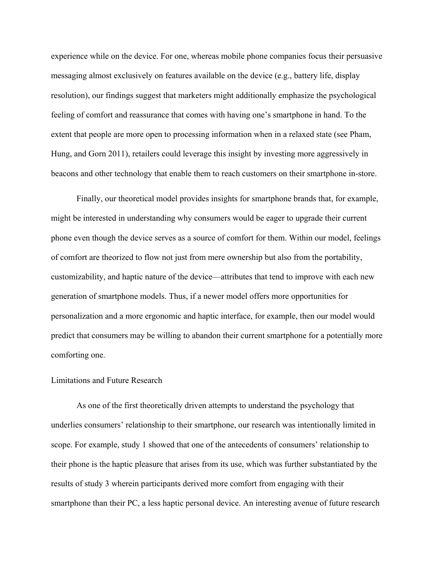experience while on the device. For one, whereas mobile phone companies focus their persuasive messaging almost exclusively on features available on the device (e.g., battery life, display resolution), our findings suggest that marketers might additionally emphasize the psychological feeling of comfort and reassurance that comes with having one's smartphone in hand. To the extent that people are more open to processing information when in a relaxed state (see Pham, Hung, and Gorn 2011), retailers could leverage this insight by investing more aggressively in beacons and other technology that enable them to reach customers on their smartphone in-store.

Finally, our theoretical model provides insights for smartphone brands that, for example, might be interested in understanding why consumers would be eager to upgrade their current phone even though the device serves as a source of comfort for them. Within our model, feelings of comfort are theorized to flow not just from mere ownership but also from the portability, customizability, and haptic nature of the device—attributes that tend to improve with each new generation of smartphone models. Thus, if a newer model offers more opportunities for personalization and a more ergonomic and haptic interface, for example, then our model would predict that consumers may be willing to abandon their current smartphone for a potentially more comforting one.

#### Limitations and Future Research

As one of the first theoretically driven attempts to understand the psychology that underlies consumers' relationship to their smartphone, our research was intentionally limited in scope. For example, study 1 showed that one of the antecedents of consumers' relationship to their phone is the haptic pleasure that arises from its use, which was further substantiated by the results of study 3 wherein participants derived more comfort from engaging with their smartphone than their PC, a less haptic personal device. An interesting avenue of future research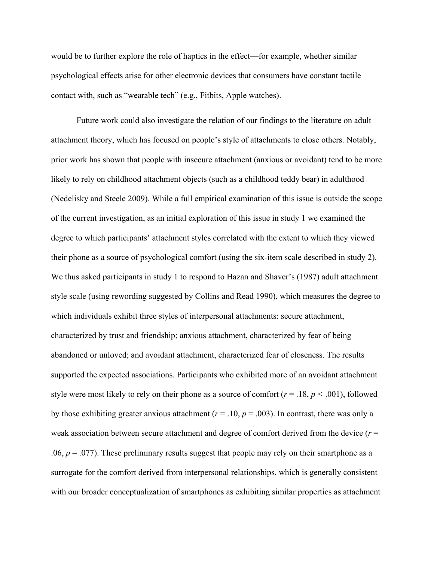would be to further explore the role of haptics in the effect—for example, whether similar psychological effects arise for other electronic devices that consumers have constant tactile contact with, such as "wearable tech" (e.g., Fitbits, Apple watches).

Future work could also investigate the relation of our findings to the literature on adult attachment theory, which has focused on people's style of attachments to close others. Notably, prior work has shown that people with insecure attachment (anxious or avoidant) tend to be more likely to rely on childhood attachment objects (such as a childhood teddy bear) in adulthood (Nedelisky and Steele 2009). While a full empirical examination of this issue is outside the scope of the current investigation, as an initial exploration of this issue in study 1 we examined the degree to which participants' attachment styles correlated with the extent to which they viewed their phone as a source of psychological comfort (using the six-item scale described in study 2). We thus asked participants in study 1 to respond to Hazan and Shaver's (1987) adult attachment style scale (using rewording suggested by Collins and Read 1990), which measures the degree to which individuals exhibit three styles of interpersonal attachments: secure attachment, characterized by trust and friendship; anxious attachment, characterized by fear of being abandoned or unloved; and avoidant attachment, characterized fear of closeness. The results supported the expected associations. Participants who exhibited more of an avoidant attachment style were most likely to rely on their phone as a source of comfort (*r* = .18, *p <* .001), followed by those exhibiting greater anxious attachment  $(r = .10, p = .003)$ . In contrast, there was only a weak association between secure attachment and degree of comfort derived from the device ( $r =$  $.06, p = .077$ ). These preliminary results suggest that people may rely on their smartphone as a surrogate for the comfort derived from interpersonal relationships, which is generally consistent with our broader conceptualization of smartphones as exhibiting similar properties as attachment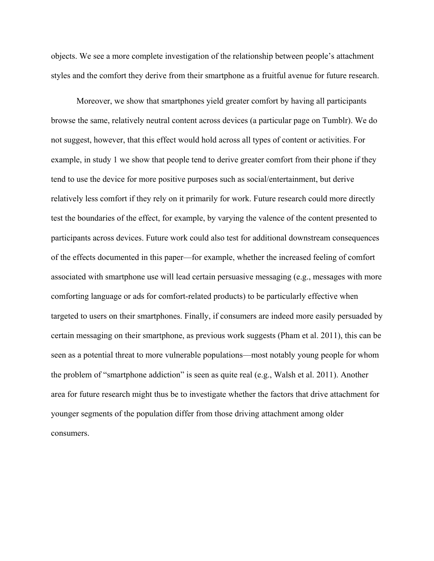objects. We see a more complete investigation of the relationship between people's attachment styles and the comfort they derive from their smartphone as a fruitful avenue for future research.

Moreover, we show that smartphones yield greater comfort by having all participants browse the same, relatively neutral content across devices (a particular page on Tumblr). We do not suggest, however, that this effect would hold across all types of content or activities. For example, in study 1 we show that people tend to derive greater comfort from their phone if they tend to use the device for more positive purposes such as social/entertainment, but derive relatively less comfort if they rely on it primarily for work. Future research could more directly test the boundaries of the effect, for example, by varying the valence of the content presented to participants across devices. Future work could also test for additional downstream consequences of the effects documented in this paper—for example, whether the increased feeling of comfort associated with smartphone use will lead certain persuasive messaging (e.g., messages with more comforting language or ads for comfort-related products) to be particularly effective when targeted to users on their smartphones. Finally, if consumers are indeed more easily persuaded by certain messaging on their smartphone, as previous work suggests (Pham et al. 2011), this can be seen as a potential threat to more vulnerable populations—most notably young people for whom the problem of "smartphone addiction" is seen as quite real (e.g., Walsh et al. 2011). Another area for future research might thus be to investigate whether the factors that drive attachment for younger segments of the population differ from those driving attachment among older consumers.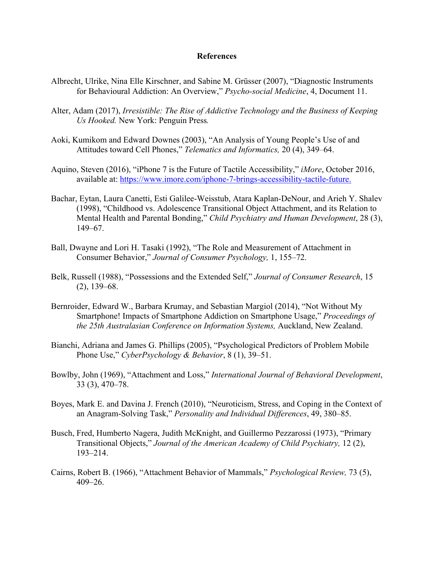#### **References**

- Albrecht, Ulrike, Nina Elle Kirschner, and Sabine M. Grüsser (2007), "Diagnostic Instruments for Behavioural Addiction: An Overview," *Psycho-social Medicine*, 4, Document 11.
- Alter, Adam (2017), *Irresistible: The Rise of Addictive Technology and the Business of Keeping Us Hooked.* New York: Penguin Press*.*
- Aoki, Kumikom and Edward Downes (2003), "An Analysis of Young People's Use of and Attitudes toward Cell Phones," *Telematics and Informatics,* 20 (4), 349–64.
- Aquino, Steven (2016), "iPhone 7 is the Future of Tactile Accessibility," *iMore*, October 2016, available at: https://www.imore.com/iphone-7-brings-accessibility-tactile-future.
- Bachar, Eytan, Laura Canetti, Esti Galilee-Weisstub, Atara Kaplan-DeNour, and Arieh Y. Shalev (1998), "Childhood vs. Adolescence Transitional Object Attachment, and its Relation to Mental Health and Parental Bonding," *Child Psychiatry and Human Development*, 28 (3), 149–67.
- Ball, Dwayne and Lori H. Tasaki (1992), "The Role and Measurement of Attachment in Consumer Behavior," *Journal of Consumer Psychology,* 1, 155–72.
- Belk, Russell (1988), "Possessions and the Extended Self," *Journal of Consumer Research*, 15 (2), 139–68.
- Bernroider, Edward W., Barbara Krumay, and Sebastian Margiol (2014), "Not Without My Smartphone! Impacts of Smartphone Addiction on Smartphone Usage," *Proceedings of the 25th Australasian Conference on Information Systems,* Auckland, New Zealand.
- Bianchi, Adriana and James G. Phillips (2005), "Psychological Predictors of Problem Mobile Phone Use," *CyberPsychology & Behavior*, 8 (1), 39–51.
- Bowlby, John (1969), "Attachment and Loss," *International Journal of Behavioral Development*, 33 (3), 470–78.
- Boyes, Mark E. and Davina J. French (2010), "Neuroticism, Stress, and Coping in the Context of an Anagram-Solving Task," *Personality and Individual Differences*, 49, 380–85.
- Busch, Fred, Humberto Nagera, Judith McKnight, and Guillermo Pezzarossi (1973), "Primary Transitional Objects," *Journal of the American Academy of Child Psychiatry,* 12 (2), 193–214.
- Cairns, Robert B. (1966), "Attachment Behavior of Mammals," *Psychological Review,* 73 (5), 409–26.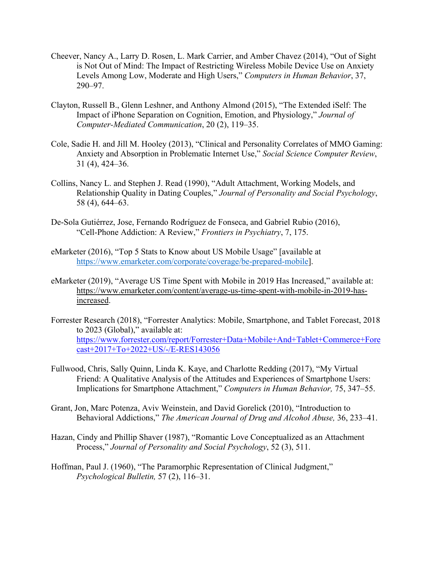- Cheever, Nancy A., Larry D. Rosen, L. Mark Carrier, and Amber Chavez (2014), "Out of Sight is Not Out of Mind: The Impact of Restricting Wireless Mobile Device Use on Anxiety Levels Among Low, Moderate and High Users," *Computers in Human Behavior*, 37, 290–97.
- Clayton, Russell B., Glenn Leshner, and Anthony Almond (2015), "The Extended iSelf: The Impact of iPhone Separation on Cognition, Emotion, and Physiology," *Journal of Computer-Mediated Communication*, 20 (2), 119–35.
- Cole, Sadie H. and Jill M. Hooley (2013), "Clinical and Personality Correlates of MMO Gaming: Anxiety and Absorption in Problematic Internet Use," *Social Science Computer Review*, 31 (4), 424–36.
- Collins, Nancy L. and Stephen J. Read (1990), "Adult Attachment, Working Models, and Relationship Quality in Dating Couples," *Journal of Personality and Social Psychology*, 58 (4), 644–63.
- De-Sola Gutiérrez, Jose, Fernando Rodríguez de Fonseca, and Gabriel Rubio (2016), "Cell-Phone Addiction: A Review," *Frontiers in Psychiatry*, 7, 175.
- eMarketer (2016), "Top 5 Stats to Know about US Mobile Usage" [available at https://www.emarketer.com/corporate/coverage/be-prepared-mobile].
- eMarketer (2019), "Average US Time Spent with Mobile in 2019 Has Increased," available at: https://www.emarketer.com/content/average-us-time-spent-with-mobile-in-2019-hasincreased.
- Forrester Research (2018), "Forrester Analytics: Mobile, Smartphone, and Tablet Forecast, 2018 to 2023 (Global)," available at: https://www.forrester.com/report/Forrester+Data+Mobile+And+Tablet+Commerce+Fore cast+2017+To+2022+US/-/E-RES143056
- Fullwood, Chris, Sally Quinn, Linda K. Kaye, and Charlotte Redding (2017), "My Virtual Friend: A Qualitative Analysis of the Attitudes and Experiences of Smartphone Users: Implications for Smartphone Attachment," *Computers in Human Behavior,* 75, 347–55.
- Grant, Jon, Marc Potenza, Aviv Weinstein, and David Gorelick (2010), "Introduction to Behavioral Addictions," *The American Journal of Drug and Alcohol Abuse,* 36, 233–41.
- Hazan, Cindy and Phillip Shaver (1987), "Romantic Love Conceptualized as an Attachment Process," *Journal of Personality and Social Psychology*, 52 (3), 511.
- Hoffman, Paul J. (1960), "The Paramorphic Representation of Clinical Judgment," *Psychological Bulletin,* 57 (2), 116–31.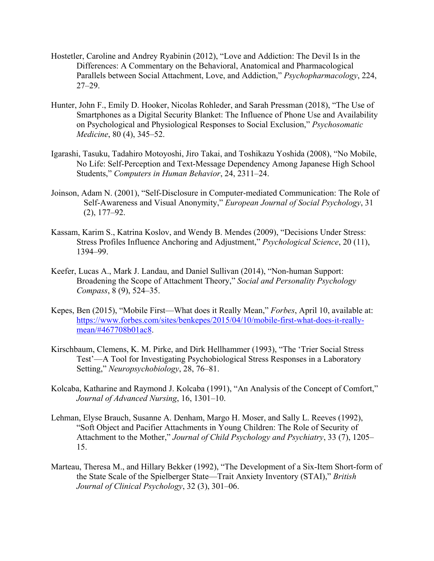- Hostetler, Caroline and Andrey Ryabinin (2012), "Love and Addiction: The Devil Is in the Differences: A Commentary on the Behavioral, Anatomical and Pharmacological Parallels between Social Attachment, Love, and Addiction," *Psychopharmacology*, 224, 27–29.
- Hunter, John F., Emily D. Hooker, Nicolas Rohleder, and Sarah Pressman (2018), "The Use of Smartphones as a Digital Security Blanket: The Influence of Phone Use and Availability on Psychological and Physiological Responses to Social Exclusion," *Psychosomatic Medicine*, 80 (4), 345–52.
- Igarashi, Tasuku, Tadahiro Motoyoshi, Jiro Takai, and Toshikazu Yoshida (2008), "No Mobile, No Life: Self-Perception and Text-Message Dependency Among Japanese High School Students," *Computers in Human Behavior*, 24, 2311–24.
- Joinson, Adam N. (2001), "Self‐Disclosure in Computer‐mediated Communication: The Role of Self‐Awareness and Visual Anonymity," *European Journal of Social Psychology*, 31 (2), 177–92.
- Kassam, Karim S., Katrina Koslov, and Wendy B. Mendes (2009), "Decisions Under Stress: Stress Profiles Influence Anchoring and Adjustment," *Psychological Science*, 20 (11), 1394–99.
- Keefer, Lucas A., Mark J. Landau, and Daniel Sullivan (2014), "Non-human Support: Broadening the Scope of Attachment Theory," *Social and Personality Psychology Compass*, 8 (9), 524–35.
- Kepes, Ben (2015), "Mobile First—What does it Really Mean," *Forbes*, April 10, available at: https://www.forbes.com/sites/benkepes/2015/04/10/mobile-first-what-does-it-reallymean/#467708b01ac8.
- Kirschbaum, Clemens, K. M. Pirke, and Dirk Hellhammer (1993), "The 'Trier Social Stress Test'—A Tool for Investigating Psychobiological Stress Responses in a Laboratory Setting," *Neuropsychobiology*, 28, 76–81.
- Kolcaba, Katharine and Raymond J. Kolcaba (1991), "An Analysis of the Concept of Comfort," *Journal of Advanced Nursing*, 16, 1301–10.
- Lehman, Elyse Brauch, Susanne A. Denham, Margo H. Moser, and Sally L. Reeves (1992), "Soft Object and Pacifier Attachments in Young Children: The Role of Security of Attachment to the Mother," *Journal of Child Psychology and Psychiatry*, 33 (7), 1205– 15.
- Marteau, Theresa M., and Hillary Bekker (1992), "The Development of a Six‐Item Short‐form of the State Scale of the Spielberger State—Trait Anxiety Inventory (STAI)," *British Journal of Clinical Psychology*, 32 (3), 301–06.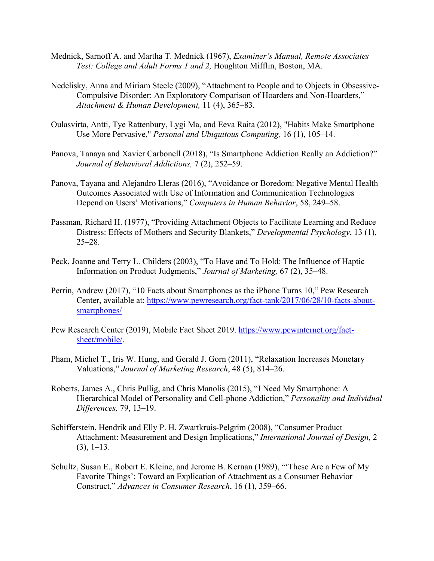- Mednick, Sarnoff A. and Martha T. Mednick (1967), *Examiner's Manual, Remote Associates Test: College and Adult Forms 1 and 2,* Houghton Mifflin, Boston, MA.
- Nedelisky, Anna and Miriam Steele (2009), "Attachment to People and to Objects in Obsessive-Compulsive Disorder: An Exploratory Comparison of Hoarders and Non-Hoarders," *Attachment & Human Development,* 11 (4), 365–83.
- Oulasvirta, Antti, Tye Rattenbury, Lygi Ma, and Eeva Raita (2012), "Habits Make Smartphone Use More Pervasive," *Personal and Ubiquitous Computing,* 16 (1), 105–14.
- Panova, Tanaya and Xavier Carbonell (2018), "Is Smartphone Addiction Really an Addiction?" *Journal of Behavioral Addictions,* 7 (2), 252–59.
- Panova, Tayana and Alejandro Lleras (2016), "Avoidance or Boredom: Negative Mental Health Outcomes Associated with Use of Information and Communication Technologies Depend on Users' Motivations," *Computers in Human Behavior*, 58, 249–58.
- Passman, Richard H. (1977), "Providing Attachment Objects to Facilitate Learning and Reduce Distress: Effects of Mothers and Security Blankets," *Developmental Psychology*, 13 (1), 25–28.
- Peck, Joanne and Terry L. Childers (2003), "To Have and To Hold: The Influence of Haptic Information on Product Judgments," *Journal of Marketing,* 67 (2), 35–48.
- Perrin, Andrew (2017), "10 Facts about Smartphones as the iPhone Turns 10," Pew Research Center, available at: https://www.pewresearch.org/fact-tank/2017/06/28/10-facts-aboutsmartphones/
- Pew Research Center (2019), Mobile Fact Sheet 2019. https://www.pewinternet.org/factsheet/mobile/.
- Pham, Michel T., Iris W. Hung, and Gerald J. Gorn (2011), "Relaxation Increases Monetary Valuations," *Journal of Marketing Research*, 48 (5), 814–26.
- Roberts, James A., Chris Pullig, and Chris Manolis (2015), "I Need My Smartphone: A Hierarchical Model of Personality and Cell-phone Addiction," *Personality and Individual Differences,* 79, 13–19.
- Schifferstein, Hendrik and Elly P. H. Zwartkruis-Pelgrim (2008), "Consumer Product Attachment: Measurement and Design Implications," *International Journal of Design,* 2  $(3), 1-13.$
- Schultz, Susan E., Robert E. Kleine, and Jerome B. Kernan (1989), "'These Are a Few of My Favorite Things': Toward an Explication of Attachment as a Consumer Behavior Construct," *Advances in Consumer Research*, 16 (1), 359–66.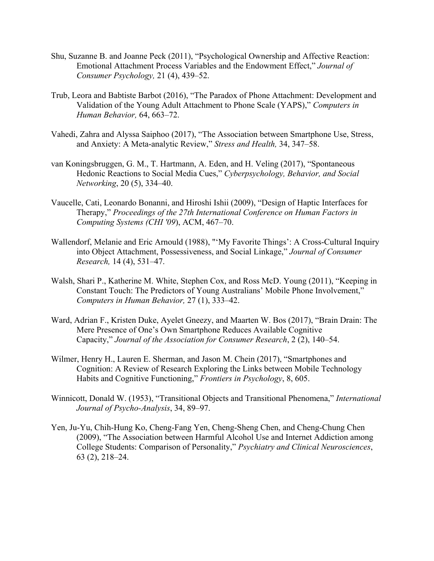- Shu, Suzanne B. and Joanne Peck (2011), "Psychological Ownership and Affective Reaction: Emotional Attachment Process Variables and the Endowment Effect," *Journal of Consumer Psychology,* 21 (4), 439–52.
- Trub, Leora and Babtiste Barbot (2016), "The Paradox of Phone Attachment: Development and Validation of the Young Adult Attachment to Phone Scale (YAPS)," *Computers in Human Behavior,* 64, 663–72.
- Vahedi, Zahra and Alyssa Saiphoo (2017), "The Association between Smartphone Use, Stress, and Anxiety: A Meta-analytic Review," *Stress and Health,* 34, 347–58.
- van Koningsbruggen, G. M., T. Hartmann, A. Eden, and H. Veling (2017), "Spontaneous Hedonic Reactions to Social Media Cues," *Cyberpsychology, Behavior, and Social Networking*, 20 (5), 334–40.
- Vaucelle, Cati, Leonardo Bonanni, and Hiroshi Ishii (2009), "Design of Haptic Interfaces for Therapy," *Proceedings of the 27th International Conference on Human Factors in Computing Systems (CHI '09*), ACM, 467–70.
- Wallendorf, Melanie and Eric Arnould (1988), "'My Favorite Things': A Cross-Cultural Inquiry into Object Attachment, Possessiveness, and Social Linkage," *Journal of Consumer Research,* 14 (4), 531–47.
- Walsh, Shari P., Katherine M. White, Stephen Cox, and Ross McD. Young (2011), "Keeping in Constant Touch: The Predictors of Young Australians' Mobile Phone Involvement," *Computers in Human Behavior,* 27 (1), 333–42.
- Ward, Adrian F., Kristen Duke, Ayelet Gneezy, and Maarten W. Bos (2017), "Brain Drain: The Mere Presence of One's Own Smartphone Reduces Available Cognitive Capacity," *Journal of the Association for Consumer Research*, 2 (2), 140–54.
- Wilmer, Henry H., Lauren E. Sherman, and Jason M. Chein (2017), "Smartphones and Cognition: A Review of Research Exploring the Links between Mobile Technology Habits and Cognitive Functioning," *Frontiers in Psychology*, 8, 605.
- Winnicott, Donald W. (1953), "Transitional Objects and Transitional Phenomena," *International Journal of Psycho-Analysis*, 34, 89–97.
- Yen, Ju-Yu, Chih-Hung Ko, Cheng-Fang Yen, Cheng-Sheng Chen, and Cheng-Chung Chen (2009), "The Association between Harmful Alcohol Use and Internet Addiction among College Students: Comparison of Personality," *Psychiatry and Clinical Neurosciences*, 63 (2), 218–24.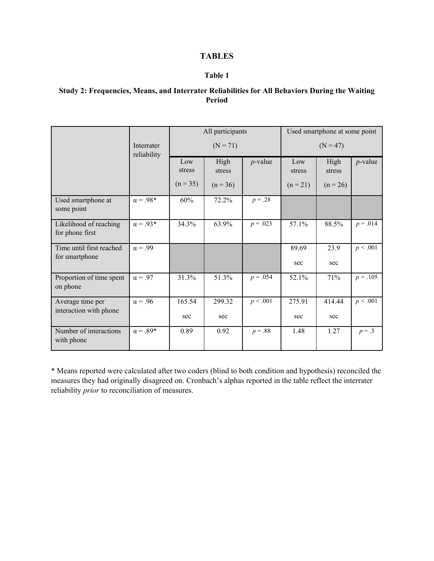# **TABLES**

## **Table 1**

# **Study 2: Frequencies, Means, and Interrater Reliabilities for All Behaviors During the Waiting Period**

|                                            | Interrater<br>reliability | All participants |                |            | Used smartphone at some point |                |            |
|--------------------------------------------|---------------------------|------------------|----------------|------------|-------------------------------|----------------|------------|
|                                            |                           | $(N = 71)$       |                |            | $(N = 47)$                    |                |            |
|                                            |                           | Low<br>stress    | High<br>stress | $p$ -value | Low<br>stress                 | High<br>stress | $p$ -value |
|                                            |                           | $(n = 35)$       | $(n = 36)$     |            | $(n = 21)$                    | $(n = 26)$     |            |
| Used smartphone at<br>some point           | $\alpha = .98*$           | 60%              | 72.2%          | $p = .28$  |                               |                |            |
| Likelihood of reaching<br>for phone first  | $\alpha = .93*$           | 34.3%            | 63.9%          | $p = .023$ | 57.1%                         | 88.5%          | $p = .014$ |
| Time until first reached<br>for smartphone | $\alpha = .99$            |                  |                |            | 89.69                         | 23.9           | p < .001   |
|                                            |                           |                  |                |            | sec                           | sec            |            |
| Proportion of time spent<br>on phone       | $\alpha = .97$            | 31.3%            | 51.3%          | $p = .054$ | 52.1%                         | 71%            | $p = .105$ |
| Average time per<br>interaction with phone | $\alpha = .96$            | 165.54           | 299.32         | p < .001   | 275.91                        | 414.44         | p < .001   |
|                                            |                           | sec              | sec            |            | sec                           | sec            |            |
| Number of interactions<br>with phone       | $\alpha = .89*$           | 0.89             | 0.92           | $p = .88$  | 1.48                          | 1.27           | $p = .3$   |

\* Means reported were calculated after two coders (blind to both condition and hypothesis) reconciled the measures they had originally disagreed on. Cronbach's alphas reported in the table reflect the interrater reliability *prior* to reconciliation of measures.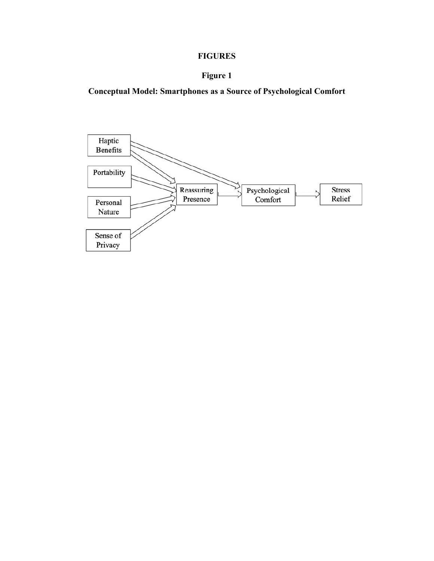# **FIGURES**

# **Figure 1**

**Conceptual Model: Smartphones as a Source of Psychological Comfort**